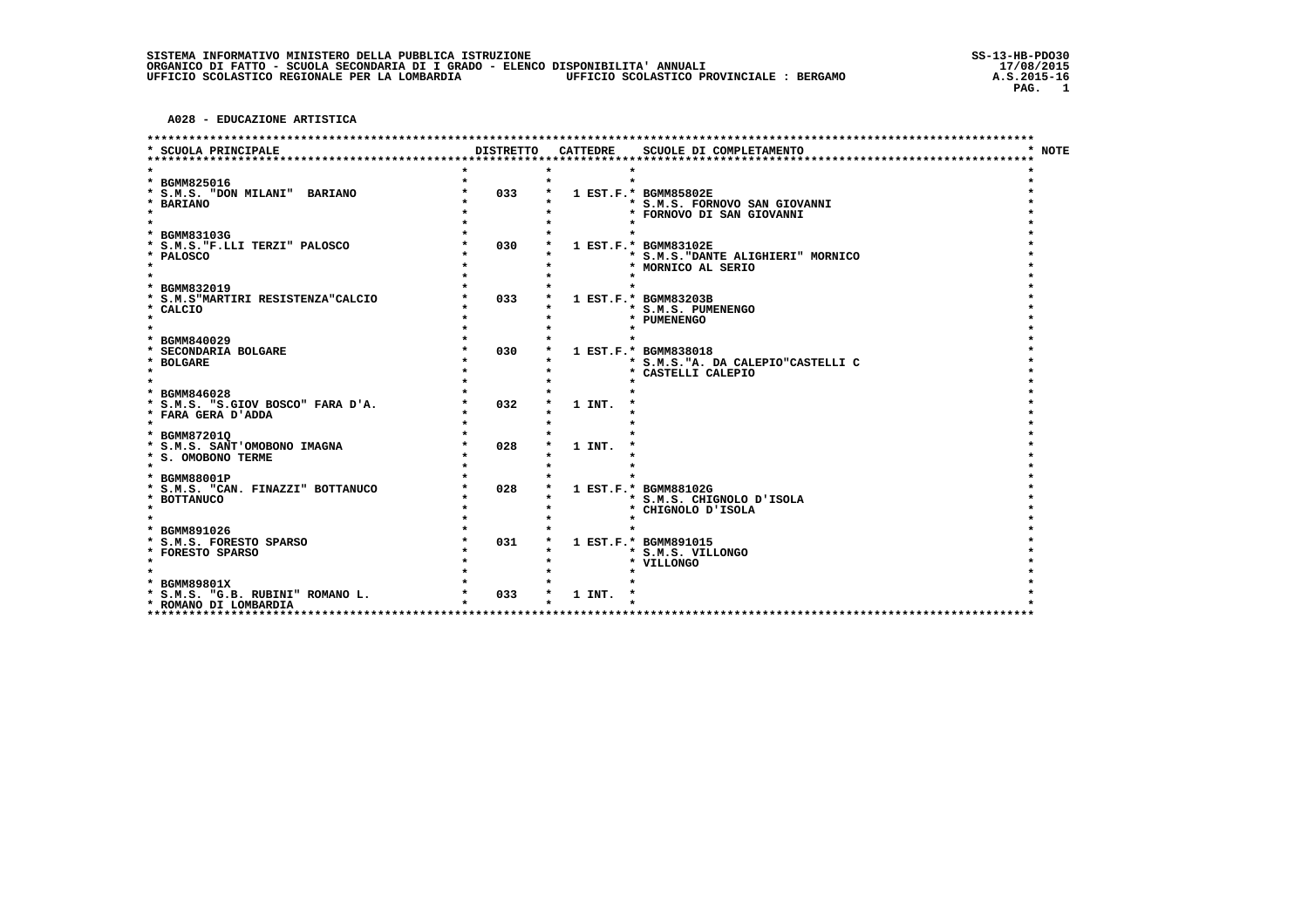A028 - EDUCAZIONE ARTISTICA

| DISTRETTO<br><b>CATTEDRE</b><br>SCUOLE DI COMPLETAMENTO<br>* NOTE<br>* SCUOLA PRINCIPALE<br>* BGMM825016<br>033<br>* S.M.S. "DON MILANI" BARIANO<br>1 EST.F.* BGMM85802E<br>* BARIANO<br>* S.M.S. FORNOVO SAN GIOVANNI<br>$\star$<br>* FORNOVO DI SAN GIOVANNI<br>* BGMM83103G<br>030<br>* S.M.S. "F.LLI TERZI" PALOSCO<br>1 EST.F.* BGMM83102E<br>* PALOSCO<br>* S.M.S. "DANTE ALIGHIERI" MORNICO<br>$\star$<br>* MORNICO AL SERIO<br>BGMM832019<br>$\star$<br>033<br>* S.M.S"MARTIRI RESISTENZA"CALCIO<br>1 EST.F.* BGMM83203B<br>* S.M.S. PUMENENGO<br>* CALCIO<br>$\star$<br>* PUMENENGO<br>BGMM840029<br>$\star$<br>030<br>* SECONDARIA BOLGARE<br>1 EST.F.* BGMM838018<br>* BOLGARE<br>* S.M.S. "A. DA CALEPIO"CASTELLI C<br>$\star$<br>* CASTELLI CALEPIO<br>* BGMM846028<br>032<br>1 INT.<br>* S.M.S. "S.GIOV BOSCO" FARA D'A.<br>* FARA GERA D'ADDA<br>$\star$<br>* BGMM872010<br>* S.M.S. SANT'OMOBONO IMAGNA<br>028<br>1 INT.<br>* S. OMOBONO TERME<br>* BGMM88001P<br>028<br>* S.M.S. "CAN. FINAZZI" BOTTANUCO<br>1 EST.F.* BGMM88102G<br>* BOTTANUCO<br>* S.M.S. CHIGNOLO D'ISOLA<br>$\star$<br>* CHIGNOLO D'ISOLA<br>* BGMM891026<br>031<br>* S.M.S. FORESTO SPARSO<br>1 EST.F.* BGMM891015<br>* FORESTO SPARSO<br>* S.M.S. VILLONGO<br>$\star$<br>* VILLONGO<br>* BGMM89801X<br>033<br>* S.M.S. "G.B. RUBINI" ROMANO L.<br>1 INT.<br>* ROMANO DI LOMBARDIA |  | ******************************** |  |
|---------------------------------------------------------------------------------------------------------------------------------------------------------------------------------------------------------------------------------------------------------------------------------------------------------------------------------------------------------------------------------------------------------------------------------------------------------------------------------------------------------------------------------------------------------------------------------------------------------------------------------------------------------------------------------------------------------------------------------------------------------------------------------------------------------------------------------------------------------------------------------------------------------------------------------------------------------------------------------------------------------------------------------------------------------------------------------------------------------------------------------------------------------------------------------------------------------------------------------------------------------------------------------------------------------------------------------------------------------------------------|--|----------------------------------|--|
|                                                                                                                                                                                                                                                                                                                                                                                                                                                                                                                                                                                                                                                                                                                                                                                                                                                                                                                                                                                                                                                                                                                                                                                                                                                                                                                                                                           |  |                                  |  |
|                                                                                                                                                                                                                                                                                                                                                                                                                                                                                                                                                                                                                                                                                                                                                                                                                                                                                                                                                                                                                                                                                                                                                                                                                                                                                                                                                                           |  |                                  |  |
|                                                                                                                                                                                                                                                                                                                                                                                                                                                                                                                                                                                                                                                                                                                                                                                                                                                                                                                                                                                                                                                                                                                                                                                                                                                                                                                                                                           |  |                                  |  |
|                                                                                                                                                                                                                                                                                                                                                                                                                                                                                                                                                                                                                                                                                                                                                                                                                                                                                                                                                                                                                                                                                                                                                                                                                                                                                                                                                                           |  |                                  |  |
|                                                                                                                                                                                                                                                                                                                                                                                                                                                                                                                                                                                                                                                                                                                                                                                                                                                                                                                                                                                                                                                                                                                                                                                                                                                                                                                                                                           |  |                                  |  |
|                                                                                                                                                                                                                                                                                                                                                                                                                                                                                                                                                                                                                                                                                                                                                                                                                                                                                                                                                                                                                                                                                                                                                                                                                                                                                                                                                                           |  |                                  |  |
|                                                                                                                                                                                                                                                                                                                                                                                                                                                                                                                                                                                                                                                                                                                                                                                                                                                                                                                                                                                                                                                                                                                                                                                                                                                                                                                                                                           |  |                                  |  |
|                                                                                                                                                                                                                                                                                                                                                                                                                                                                                                                                                                                                                                                                                                                                                                                                                                                                                                                                                                                                                                                                                                                                                                                                                                                                                                                                                                           |  |                                  |  |
|                                                                                                                                                                                                                                                                                                                                                                                                                                                                                                                                                                                                                                                                                                                                                                                                                                                                                                                                                                                                                                                                                                                                                                                                                                                                                                                                                                           |  |                                  |  |
|                                                                                                                                                                                                                                                                                                                                                                                                                                                                                                                                                                                                                                                                                                                                                                                                                                                                                                                                                                                                                                                                                                                                                                                                                                                                                                                                                                           |  |                                  |  |
|                                                                                                                                                                                                                                                                                                                                                                                                                                                                                                                                                                                                                                                                                                                                                                                                                                                                                                                                                                                                                                                                                                                                                                                                                                                                                                                                                                           |  |                                  |  |
|                                                                                                                                                                                                                                                                                                                                                                                                                                                                                                                                                                                                                                                                                                                                                                                                                                                                                                                                                                                                                                                                                                                                                                                                                                                                                                                                                                           |  |                                  |  |
|                                                                                                                                                                                                                                                                                                                                                                                                                                                                                                                                                                                                                                                                                                                                                                                                                                                                                                                                                                                                                                                                                                                                                                                                                                                                                                                                                                           |  |                                  |  |
|                                                                                                                                                                                                                                                                                                                                                                                                                                                                                                                                                                                                                                                                                                                                                                                                                                                                                                                                                                                                                                                                                                                                                                                                                                                                                                                                                                           |  |                                  |  |
|                                                                                                                                                                                                                                                                                                                                                                                                                                                                                                                                                                                                                                                                                                                                                                                                                                                                                                                                                                                                                                                                                                                                                                                                                                                                                                                                                                           |  |                                  |  |
|                                                                                                                                                                                                                                                                                                                                                                                                                                                                                                                                                                                                                                                                                                                                                                                                                                                                                                                                                                                                                                                                                                                                                                                                                                                                                                                                                                           |  |                                  |  |
|                                                                                                                                                                                                                                                                                                                                                                                                                                                                                                                                                                                                                                                                                                                                                                                                                                                                                                                                                                                                                                                                                                                                                                                                                                                                                                                                                                           |  |                                  |  |
|                                                                                                                                                                                                                                                                                                                                                                                                                                                                                                                                                                                                                                                                                                                                                                                                                                                                                                                                                                                                                                                                                                                                                                                                                                                                                                                                                                           |  |                                  |  |
|                                                                                                                                                                                                                                                                                                                                                                                                                                                                                                                                                                                                                                                                                                                                                                                                                                                                                                                                                                                                                                                                                                                                                                                                                                                                                                                                                                           |  |                                  |  |
|                                                                                                                                                                                                                                                                                                                                                                                                                                                                                                                                                                                                                                                                                                                                                                                                                                                                                                                                                                                                                                                                                                                                                                                                                                                                                                                                                                           |  |                                  |  |
|                                                                                                                                                                                                                                                                                                                                                                                                                                                                                                                                                                                                                                                                                                                                                                                                                                                                                                                                                                                                                                                                                                                                                                                                                                                                                                                                                                           |  |                                  |  |
|                                                                                                                                                                                                                                                                                                                                                                                                                                                                                                                                                                                                                                                                                                                                                                                                                                                                                                                                                                                                                                                                                                                                                                                                                                                                                                                                                                           |  |                                  |  |
|                                                                                                                                                                                                                                                                                                                                                                                                                                                                                                                                                                                                                                                                                                                                                                                                                                                                                                                                                                                                                                                                                                                                                                                                                                                                                                                                                                           |  |                                  |  |
|                                                                                                                                                                                                                                                                                                                                                                                                                                                                                                                                                                                                                                                                                                                                                                                                                                                                                                                                                                                                                                                                                                                                                                                                                                                                                                                                                                           |  |                                  |  |
|                                                                                                                                                                                                                                                                                                                                                                                                                                                                                                                                                                                                                                                                                                                                                                                                                                                                                                                                                                                                                                                                                                                                                                                                                                                                                                                                                                           |  |                                  |  |
|                                                                                                                                                                                                                                                                                                                                                                                                                                                                                                                                                                                                                                                                                                                                                                                                                                                                                                                                                                                                                                                                                                                                                                                                                                                                                                                                                                           |  |                                  |  |
|                                                                                                                                                                                                                                                                                                                                                                                                                                                                                                                                                                                                                                                                                                                                                                                                                                                                                                                                                                                                                                                                                                                                                                                                                                                                                                                                                                           |  |                                  |  |
|                                                                                                                                                                                                                                                                                                                                                                                                                                                                                                                                                                                                                                                                                                                                                                                                                                                                                                                                                                                                                                                                                                                                                                                                                                                                                                                                                                           |  |                                  |  |
|                                                                                                                                                                                                                                                                                                                                                                                                                                                                                                                                                                                                                                                                                                                                                                                                                                                                                                                                                                                                                                                                                                                                                                                                                                                                                                                                                                           |  |                                  |  |
|                                                                                                                                                                                                                                                                                                                                                                                                                                                                                                                                                                                                                                                                                                                                                                                                                                                                                                                                                                                                                                                                                                                                                                                                                                                                                                                                                                           |  |                                  |  |
|                                                                                                                                                                                                                                                                                                                                                                                                                                                                                                                                                                                                                                                                                                                                                                                                                                                                                                                                                                                                                                                                                                                                                                                                                                                                                                                                                                           |  |                                  |  |
|                                                                                                                                                                                                                                                                                                                                                                                                                                                                                                                                                                                                                                                                                                                                                                                                                                                                                                                                                                                                                                                                                                                                                                                                                                                                                                                                                                           |  |                                  |  |
|                                                                                                                                                                                                                                                                                                                                                                                                                                                                                                                                                                                                                                                                                                                                                                                                                                                                                                                                                                                                                                                                                                                                                                                                                                                                                                                                                                           |  |                                  |  |
|                                                                                                                                                                                                                                                                                                                                                                                                                                                                                                                                                                                                                                                                                                                                                                                                                                                                                                                                                                                                                                                                                                                                                                                                                                                                                                                                                                           |  |                                  |  |
|                                                                                                                                                                                                                                                                                                                                                                                                                                                                                                                                                                                                                                                                                                                                                                                                                                                                                                                                                                                                                                                                                                                                                                                                                                                                                                                                                                           |  |                                  |  |
|                                                                                                                                                                                                                                                                                                                                                                                                                                                                                                                                                                                                                                                                                                                                                                                                                                                                                                                                                                                                                                                                                                                                                                                                                                                                                                                                                                           |  |                                  |  |
|                                                                                                                                                                                                                                                                                                                                                                                                                                                                                                                                                                                                                                                                                                                                                                                                                                                                                                                                                                                                                                                                                                                                                                                                                                                                                                                                                                           |  |                                  |  |
|                                                                                                                                                                                                                                                                                                                                                                                                                                                                                                                                                                                                                                                                                                                                                                                                                                                                                                                                                                                                                                                                                                                                                                                                                                                                                                                                                                           |  |                                  |  |
|                                                                                                                                                                                                                                                                                                                                                                                                                                                                                                                                                                                                                                                                                                                                                                                                                                                                                                                                                                                                                                                                                                                                                                                                                                                                                                                                                                           |  |                                  |  |
|                                                                                                                                                                                                                                                                                                                                                                                                                                                                                                                                                                                                                                                                                                                                                                                                                                                                                                                                                                                                                                                                                                                                                                                                                                                                                                                                                                           |  |                                  |  |
|                                                                                                                                                                                                                                                                                                                                                                                                                                                                                                                                                                                                                                                                                                                                                                                                                                                                                                                                                                                                                                                                                                                                                                                                                                                                                                                                                                           |  |                                  |  |
|                                                                                                                                                                                                                                                                                                                                                                                                                                                                                                                                                                                                                                                                                                                                                                                                                                                                                                                                                                                                                                                                                                                                                                                                                                                                                                                                                                           |  |                                  |  |
| ****                                                                                                                                                                                                                                                                                                                                                                                                                                                                                                                                                                                                                                                                                                                                                                                                                                                                                                                                                                                                                                                                                                                                                                                                                                                                                                                                                                      |  |                                  |  |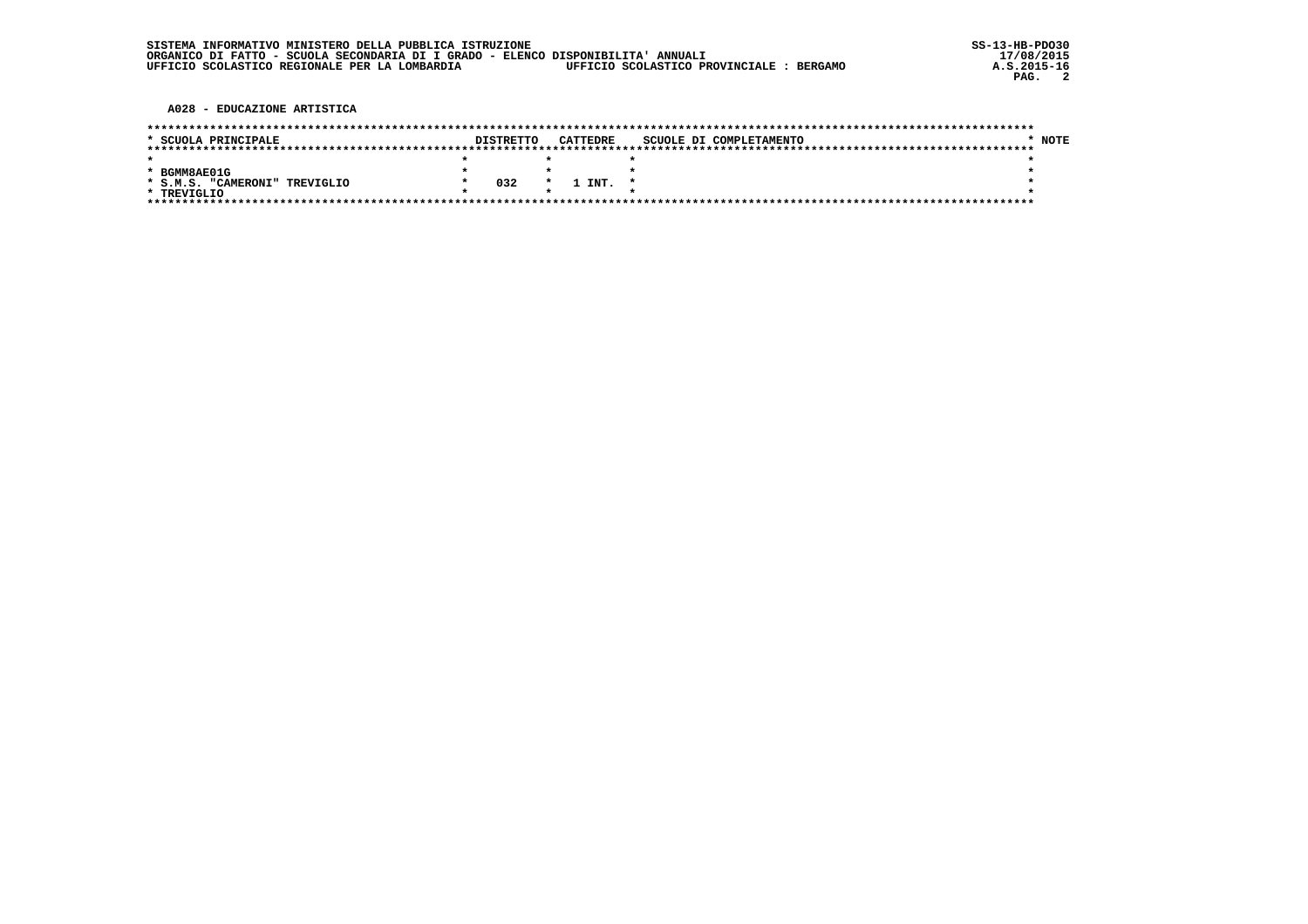| SISTEMA INFORMATIVO MINISTERO DELLA PUBBLICA ISTRUZIONE                          |                                          |
|----------------------------------------------------------------------------------|------------------------------------------|
| ORGANICO DI FATTO - SCUOLA SECONDARIA DI I GRADO - ELENCO DISPONIBILITA' ANNUALI |                                          |
| UFFICIO SCOLASTICO REGIONALE PER LA LOMBARDIA                                    | UFFICIO SCOLASTICO PROVINCIALE : BERGAMO |

A028 - EDUCAZIONE ARTISTICA

| * SCUOLA PRINCIPALE           | <b>DISTRETTO</b> |         | CATTEDRE | SCUOLE DI COMPLETAMENTO | * NOTE |
|-------------------------------|------------------|---------|----------|-------------------------|--------|
|                               |                  |         |          |                         |        |
|                               |                  |         |          |                         |        |
| * BGMM8AE01G                  |                  |         |          |                         |        |
| * S.M.S. "CAMERONI" TREVIGLIO | 032              | $\star$ | L INT.   |                         |        |
| * TREVIGLIO                   |                  |         |          |                         |        |
|                               |                  |         |          |                         |        |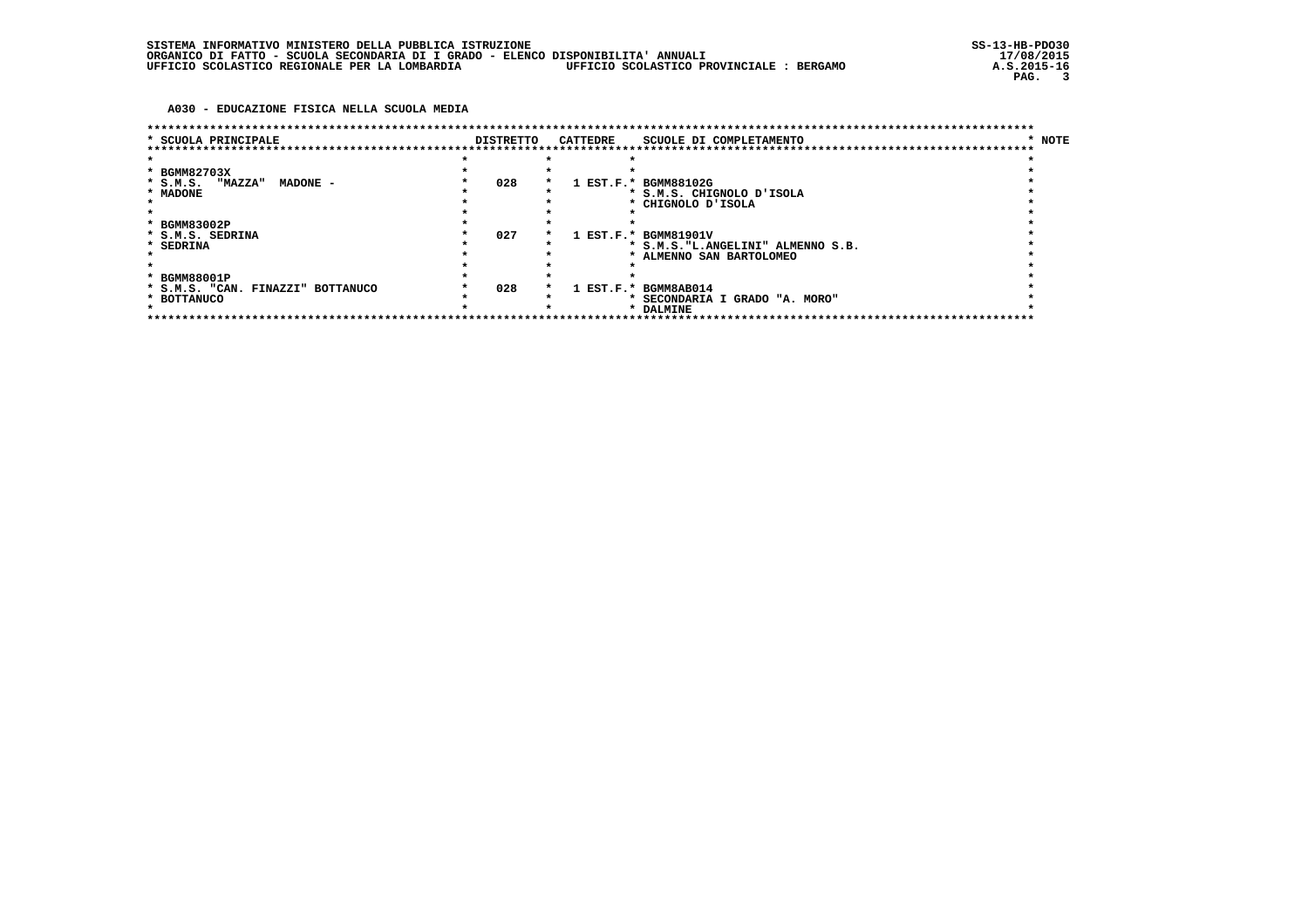## A030 - EDUCAZIONE FISICA NELLA SCUOLA MEDIA

| * SCUOLA PRINCIPALE                 |  | <b>DISTRETTO</b> |  | CATTEDRE    | SCUOLE DI COMPLETAMENTO            | * NOTE |  |  |  |
|-------------------------------------|--|------------------|--|-------------|------------------------------------|--------|--|--|--|
|                                     |  |                  |  |             |                                    |        |  |  |  |
|                                     |  |                  |  |             |                                    |        |  |  |  |
| * BGMM82703X                        |  |                  |  |             |                                    |        |  |  |  |
| * S.M.S. "MAZZA"<br>MADONE -        |  | 028              |  |             | 1 EST.F.* BGMM88102G               |        |  |  |  |
| * MADONE                            |  |                  |  |             | * S.M.S. CHIGNOLO D'ISOLA          |        |  |  |  |
|                                     |  |                  |  |             | * CHIGNOLO D'ISOLA                 |        |  |  |  |
|                                     |  |                  |  |             |                                    |        |  |  |  |
| * BGMM83002P                        |  |                  |  |             |                                    |        |  |  |  |
| * S.M.S. SEDRINA                    |  | 027              |  |             | 1 EST.F.* BGMM81901V               |        |  |  |  |
| * SEDRINA                           |  |                  |  |             | * S.M.S. "L.ANGELINI" ALMENNO S.B. |        |  |  |  |
|                                     |  |                  |  |             | * ALMENNO SAN BARTOLOMEO           |        |  |  |  |
|                                     |  |                  |  |             |                                    |        |  |  |  |
| * BGMM88001P                        |  |                  |  |             |                                    |        |  |  |  |
| * S.M.S. "CAN. FINAZZI" BOTTANUCO   |  | 028              |  | $1$ EST.F.* | BGMM8AB014                         |        |  |  |  |
| * BOTTANUCO                         |  |                  |  |             | * SECONDARIA I GRADO "A. MORO"     |        |  |  |  |
|                                     |  |                  |  |             | * DALMINE                          |        |  |  |  |
| *********************************** |  |                  |  |             | ******************************     |        |  |  |  |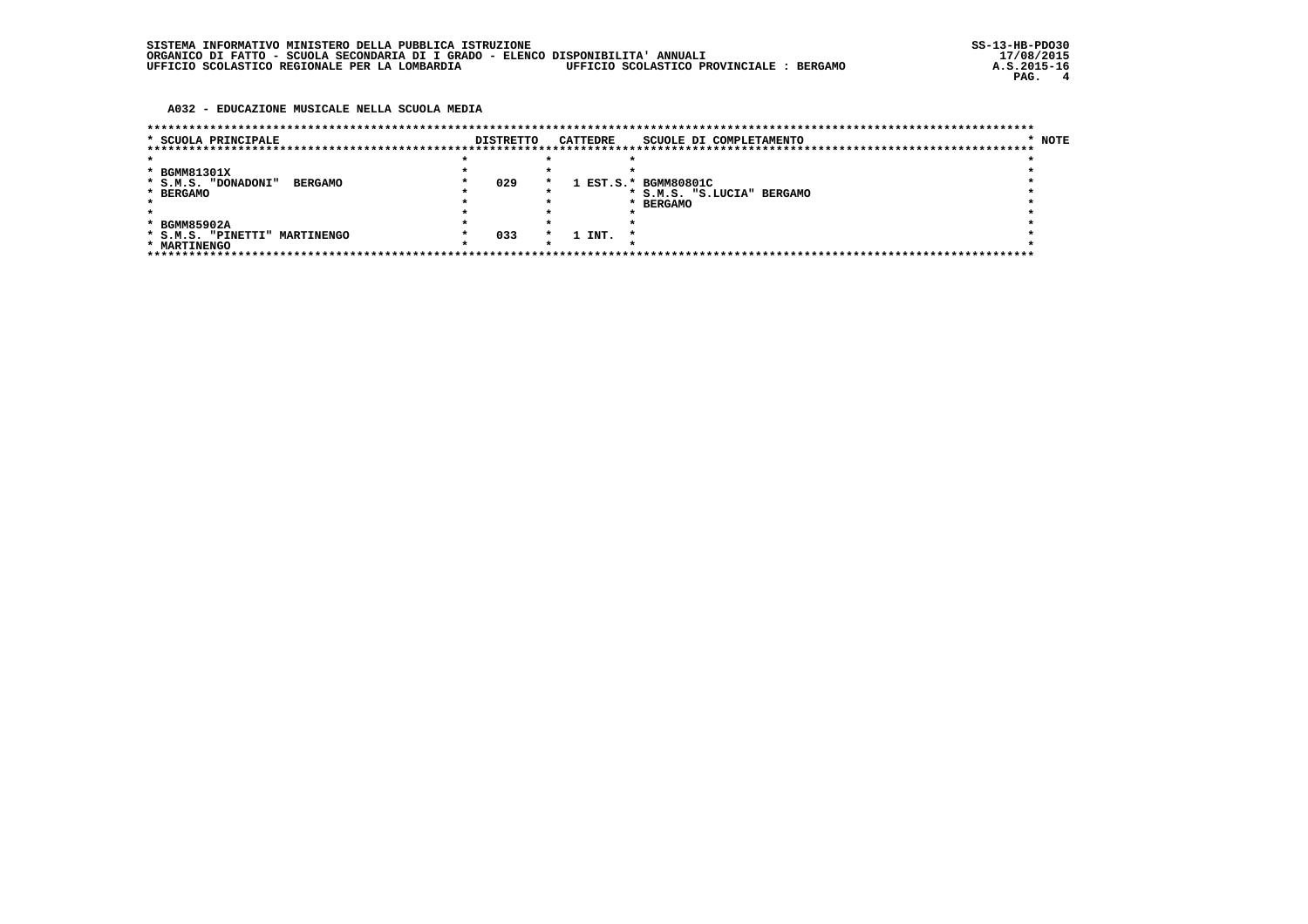A032 - EDUCAZIONE MUSICALE NELLA SCUOLA MEDIA

| * SCUOLA PRINCIPALE                   | <b>DISTRETTO</b> |         | <b>CATTEDRE</b> | SCUOLE DI COMPLETAMENTO    | * NOTE |
|---------------------------------------|------------------|---------|-----------------|----------------------------|--------|
|                                       |                  |         |                 |                            |        |
|                                       |                  |         |                 |                            |        |
| * BGMM81301X                          |                  |         |                 |                            |        |
| * S.M.S. "DONADONI"<br><b>BERGAMO</b> | 029              | $\star$ |                 | 1 EST.S.* BGMM80801C       |        |
| * BERGAMO                             |                  |         |                 | * S.M.S. "S.LUCIA" BERGAMO |        |
|                                       |                  |         |                 | <b>BERGAMO</b>             |        |
|                                       |                  |         |                 |                            |        |
| * BGMM85902A                          |                  |         |                 |                            |        |
| * S.M.S. "PINETTI" MARTINENGO         | 033              | $\star$ | 1 INT.          |                            |        |
| * MARTINENGO                          |                  |         |                 |                            |        |
|                                       |                  |         |                 |                            |        |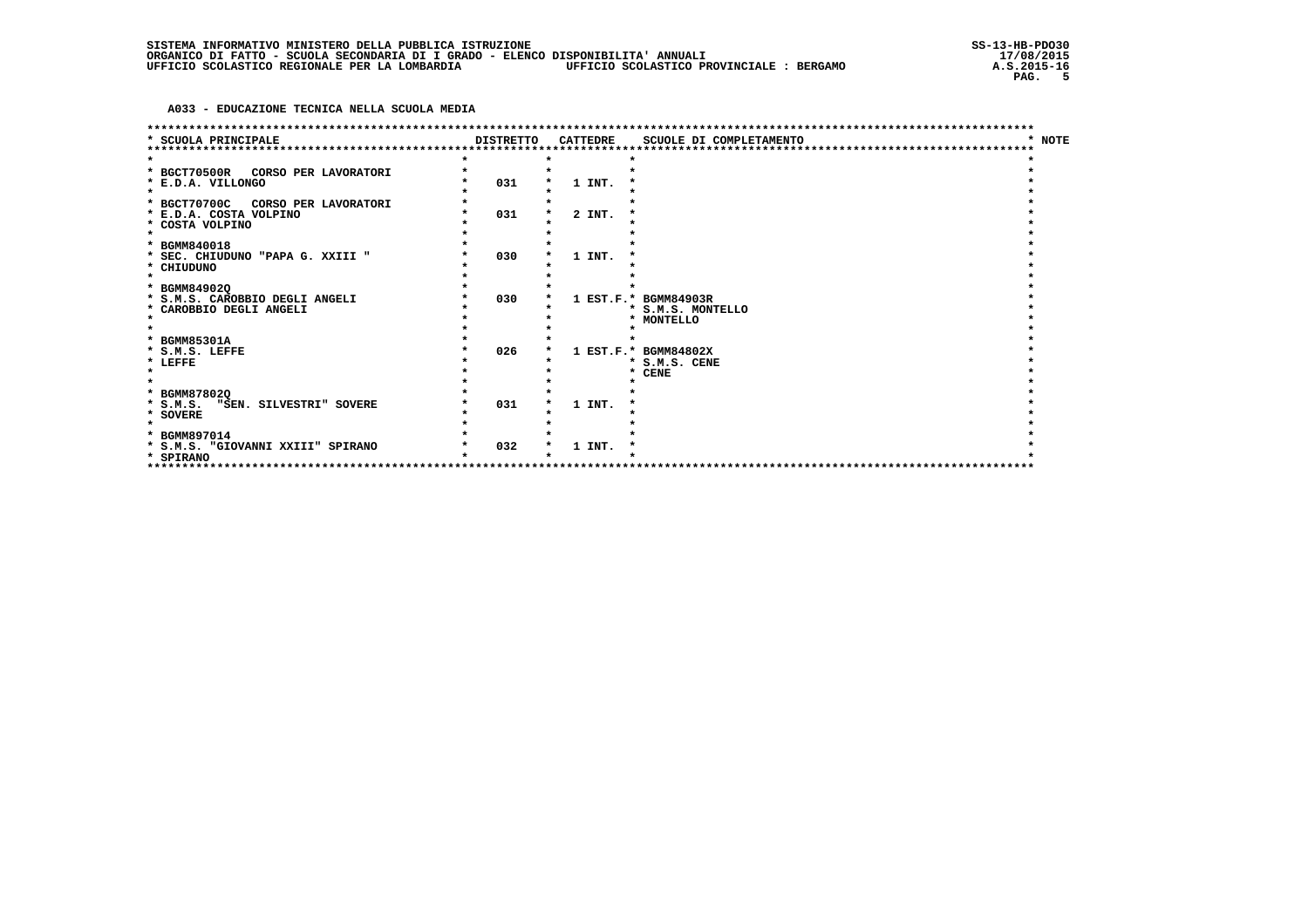A033 - EDUCAZIONE TECNICA NELLA SCUOLA MEDIA

|                                                                                                                                       |                  |                  | ************************                                |             |
|---------------------------------------------------------------------------------------------------------------------------------------|------------------|------------------|---------------------------------------------------------|-------------|
| <b>SCUOLA PRINCIPALE</b>                                                                                                              | <b>DISTRETTO</b> | <b>CATTEDRE</b>  | SCUOLE DI COMPLETAMENTO                                 | <b>NOTE</b> |
| * BGCT70500R CORSO PER LAVORATORI<br>* E.D.A. VILLONGO<br>$\bullet$<br>* BGCT70700C<br>CORSO PER LAVORATORI<br>* E.D.A. COSTA VOLPINO | 031<br>031       | 1 INT.<br>2 INT. |                                                         |             |
| * COSTA VOLPINO<br>* BGMM840018<br>* SEC. CHIUDUNO "PAPA G. XXIII "<br>* CHIUDUNO<br>$\star$                                          | 030              | 1 INT.           |                                                         |             |
| * BGMM849020<br>* S.M.S. CAROBBIO DEGLI ANGELI<br>* CAROBBIO DEGLI ANGELI                                                             | 030              |                  | 1 EST.F.* BGMM84903R<br>* S.M.S. MONTELLO<br>* MONTELLO |             |
| * BGMM85301A<br>* S.M.S. LEFFE<br>* LEFFE                                                                                             | 026              |                  | 1 EST.F.* BGMM84802X<br>* S.M.S. CENE<br><b>CENE</b>    |             |
| * BGMM878020<br>* S.M.S. "SEN. SILVESTRI" SOVERE<br>* SOVERE                                                                          | 031              | 1 INT.           |                                                         |             |
| * BGMM897014<br>* S.M.S. "GIOVANNI XXIII" SPIRANO<br>* SPIRANO                                                                        | 032              | 1 INT.           | *******************                                     |             |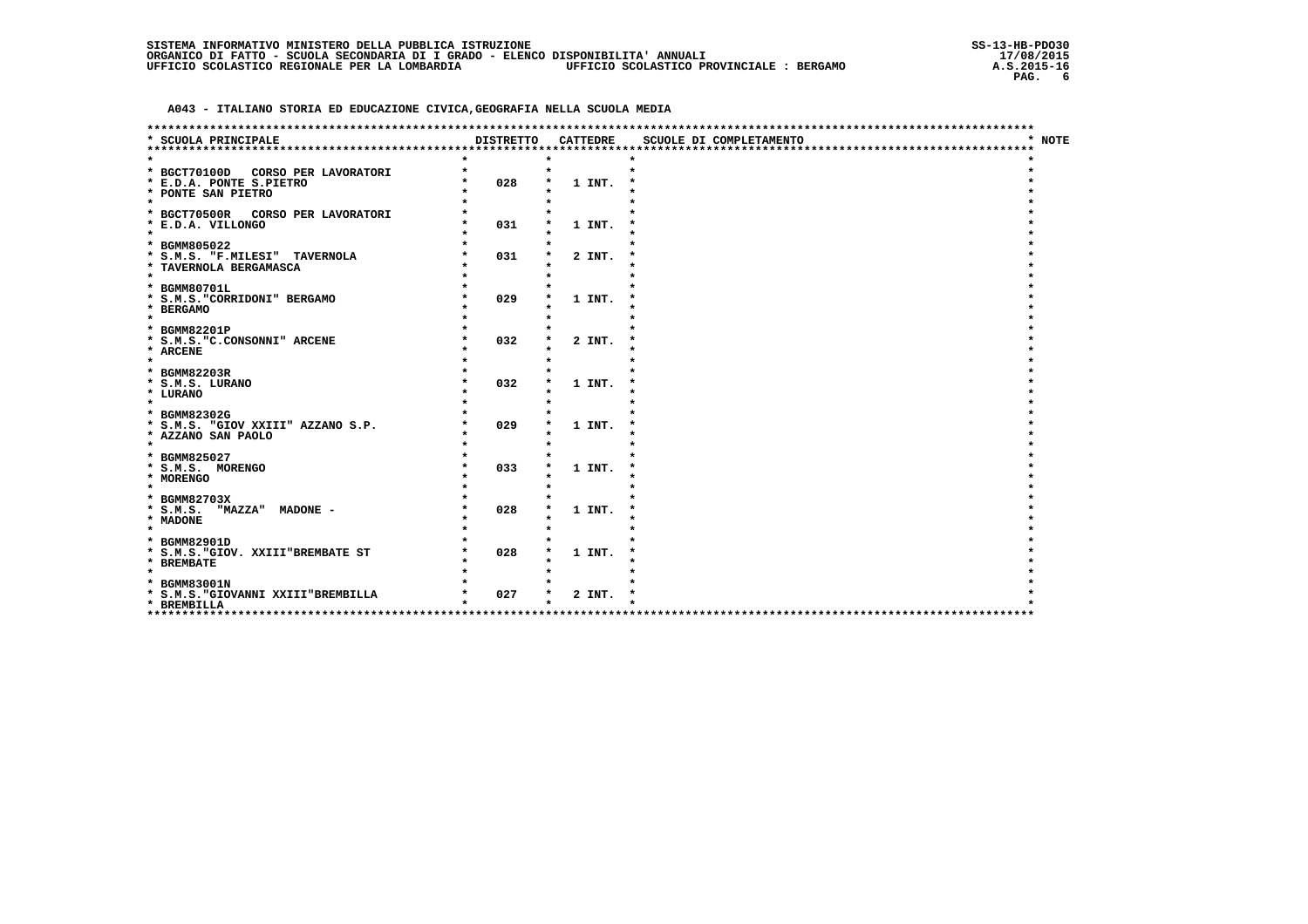|  | SISTEMA INFORMATIVO MINISTERO DELLA PUBBLICA ISTRUZIONE                          |                                          |
|--|----------------------------------------------------------------------------------|------------------------------------------|
|  | ORGANICO DI FATTO - SCUOLA SECONDARIA DI I GRADO - ELENCO DISPONIBILITA' ANNUALI |                                          |
|  | UFFICIO SCOLASTICO REGIONALE PER LA LOMBARDIA                                    | UFFICIO SCOLASTICO PROVINCIALE : BERGAMO |

| ***********************************                     |                  |                 | ***************************** |        |
|---------------------------------------------------------|------------------|-----------------|-------------------------------|--------|
| SCUOLA PRINCIPALE                                       | <b>DISTRETTO</b> | <b>CATTEDRE</b> | SCUOLE DI COMPLETAMENTO       | * NOTE |
|                                                         |                  |                 |                               |        |
| * BGCT70100D<br>CORSO PER LAVORATORI                    |                  | $\star$         |                               |        |
| * E.D.A. PONTE S.PIETRO                                 | 028              | 1 INT.          |                               |        |
| * PONTE SAN PIETRO                                      |                  |                 |                               |        |
| $\star$                                                 |                  |                 |                               |        |
| * BGCT70500R CORSO PER LAVORATORI                       |                  |                 |                               |        |
| * E.D.A. VILLONGO                                       | 031              | 1 INT.          |                               |        |
| $\star$                                                 |                  |                 |                               |        |
| * BGMM805022                                            |                  |                 |                               |        |
| * S.M.S. "F.MILESI" TAVERNOLA<br>* TAVERNOLA BERGAMASCA | 031              | 2 INT.          |                               |        |
| $\star$                                                 |                  |                 |                               |        |
| * BGMM80701L                                            |                  |                 |                               |        |
| * S.M.S. "CORRIDONI" BERGAMO                            | 029              | 1 INT.          |                               |        |
| * BERGAMO                                               |                  |                 |                               |        |
| $\star$                                                 |                  |                 |                               |        |
| * BGMM82201P                                            |                  |                 |                               |        |
| * S.M.S. "C.CONSONNI" ARCENE                            | 032              | 2 INT.          |                               |        |
| * ARCENE<br>$\star$                                     |                  |                 |                               |        |
| * BGMM82203R                                            |                  |                 |                               |        |
| * S.M.S. LURANO                                         | 032              | 1 INT.          |                               |        |
| * LURANO                                                |                  |                 |                               |        |
| $\star$                                                 |                  |                 |                               |        |
| * BGMM82302G                                            |                  |                 |                               |        |
| * S.M.S. "GIOV XXIII" AZZANO S.P.                       | 029              | 1 INT.          |                               |        |
| * AZZANO SAN PAOLO                                      |                  |                 |                               |        |
| $\star$                                                 |                  |                 |                               |        |
| * BGMM825027<br>* S.M.S. MORENGO                        | 033              | 1 INT.          |                               |        |
| * MORENGO                                               |                  |                 |                               |        |
| $\star$                                                 |                  |                 |                               |        |
| * BGMM82703X                                            |                  |                 |                               |        |
| * S.M.S. "MAZZA" MADONE -                               | 028              | 1 INT.          |                               |        |
| * MADONE                                                |                  |                 |                               |        |
| $\star$                                                 |                  |                 |                               |        |
| * BGMM82901D                                            |                  |                 |                               |        |
| * S.M.S. "GIOV. XXIII"BREMBATE ST                       | 028              | 1 INT.          |                               |        |
| * BREMBATE<br>$\star$                                   |                  |                 |                               |        |
| * BGMM83001N                                            |                  |                 |                               |        |
| * S.M.S. "GIOVANNI XXIII"BREMBILLA                      | 027              | 2 INT.          |                               |        |
| * BREMBILLA                                             |                  |                 |                               |        |
|                                                         |                  |                 |                               |        |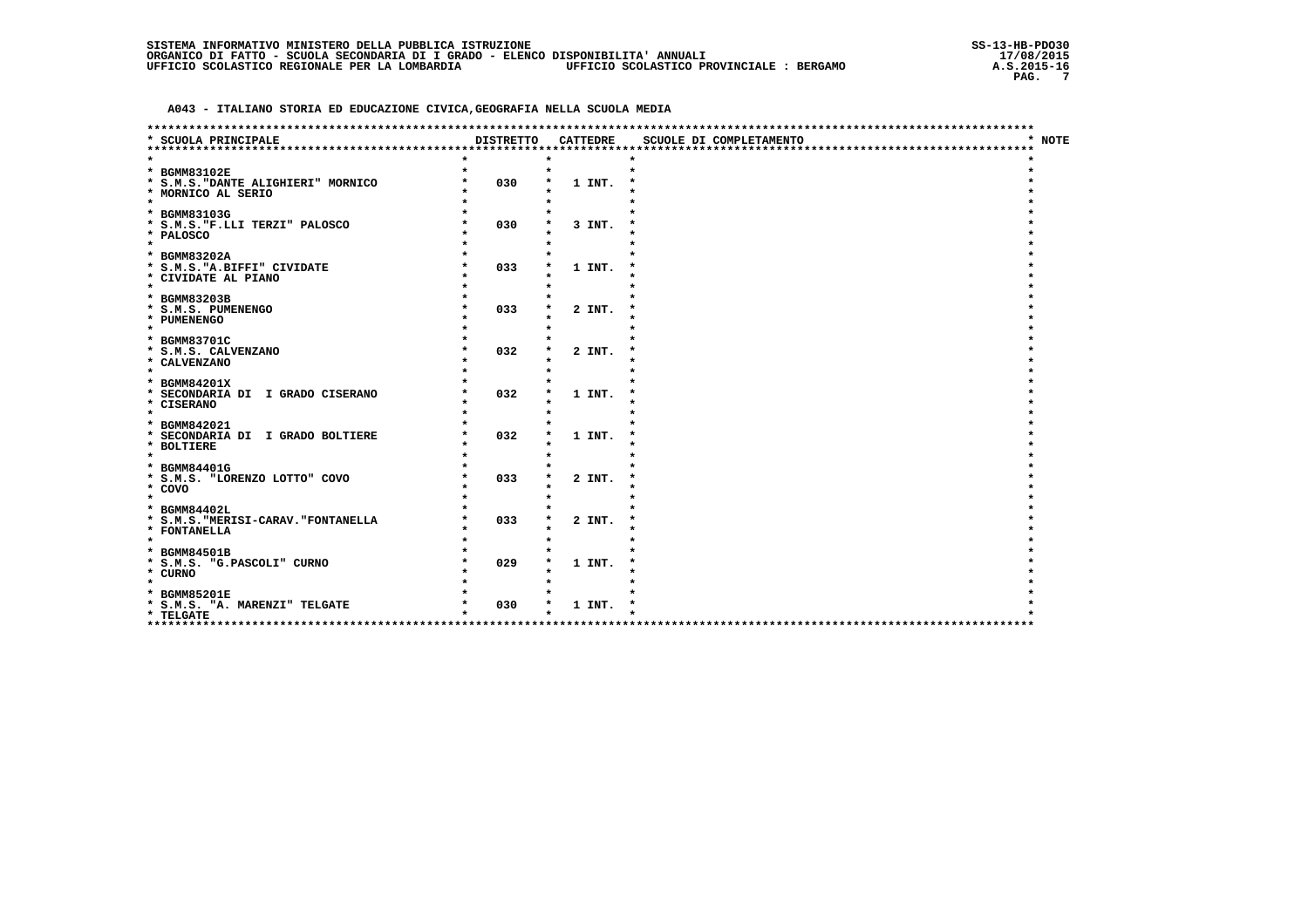|  | SISTEMA INFORMATIVO MINISTERO DELLA PUBBLICA ISTRUZIONE                          |                                          |
|--|----------------------------------------------------------------------------------|------------------------------------------|
|  | ORGANICO DI FATTO - SCUOLA SECONDARIA DI I GRADO - ELENCO DISPONIBILITA' ANNUALI |                                          |
|  | UFFICIO SCOLASTICO REGIONALE PER LA LOMBARDIA                                    | UFFICIO SCOLASTICO PROVINCIALE : BERGAMO |

| *****************************                    |                  |                 | ***********************              |        |
|--------------------------------------------------|------------------|-----------------|--------------------------------------|--------|
| SCUOLA PRINCIPALE<br>*************************** | <b>DISTRETTO</b> | <b>CATTEDRE</b> | SCUOLE DI COMPLETAMENTO              | * NOTE |
|                                                  |                  |                 |                                      |        |
| * BGMM83102E                                     |                  |                 |                                      |        |
| * S.M.S. "DANTE ALIGHIERI" MORNICO               | 030              | 1 INT.          |                                      |        |
| * MORNICO AL SERIO                               |                  |                 |                                      |        |
| $\star$                                          |                  |                 |                                      |        |
| * BGMM83103G                                     | 030              |                 |                                      |        |
| * S.M.S. "F.LLI TERZI" PALOSCO<br>* PALOSCO      |                  | 3 INT.          |                                      |        |
| $\star$                                          |                  |                 |                                      |        |
| * BGMM83202A                                     |                  |                 |                                      |        |
| * S.M.S. "A.BIFFI" CIVIDATE                      | 033              | 1 INT.          |                                      |        |
| * CIVIDATE AL PIANO                              |                  |                 |                                      |        |
| $\star$<br>* BGMM83203B                          |                  |                 |                                      |        |
| * S.M.S. PUMENENGO                               | 033              | 2 INT.          |                                      |        |
| * PUMENENGO                                      |                  |                 |                                      |        |
| $\star$                                          |                  |                 |                                      |        |
| * BGMM83701C                                     |                  |                 |                                      |        |
| * S.M.S. CALVENZANO                              | 032              | 2 INT.          |                                      |        |
| * CALVENZANO<br>$\star$                          |                  |                 |                                      |        |
| * BGMM84201X                                     |                  |                 |                                      |        |
| * SECONDARIA DI I GRADO CISERANO                 | 032              | 1 INT.          |                                      |        |
| * CISERANO                                       |                  |                 |                                      |        |
| $\star$                                          |                  |                 |                                      |        |
| * BGMM842021                                     |                  |                 |                                      |        |
| * SECONDARIA DI I GRADO BOLTIERE<br>* BOLTIERE   | 032              | 1 INT.          |                                      |        |
| $\star$                                          |                  |                 |                                      |        |
| * BGMM84401G                                     |                  |                 |                                      |        |
| * S.M.S. "LORENZO LOTTO" COVO                    | 033              | 2 INT.          |                                      |        |
| * COVO<br>$\star$                                |                  |                 |                                      |        |
| * BGMM84402L                                     |                  |                 |                                      |        |
| * S.M.S. "MERISI-CARAV. "FONTANELLA              | 033              | 2 INT.          |                                      |        |
| * FONTANELLA                                     |                  |                 |                                      |        |
| $\star$                                          |                  |                 |                                      |        |
| * BGMM84501B                                     |                  |                 |                                      |        |
| * S.M.S. "G.PASCOLI" CURNO                       | 029              | 1 INT.          |                                      |        |
| * CURNO<br>$\star$                               |                  |                 |                                      |        |
| * BGMM85201E                                     |                  |                 |                                      |        |
| * S.M.S. "A. MARENZI" TELGATE                    | 030              | 1 INT.          |                                      |        |
| * TELGATE                                        |                  |                 |                                      |        |
| ********************                             |                  |                 | ************************************ |        |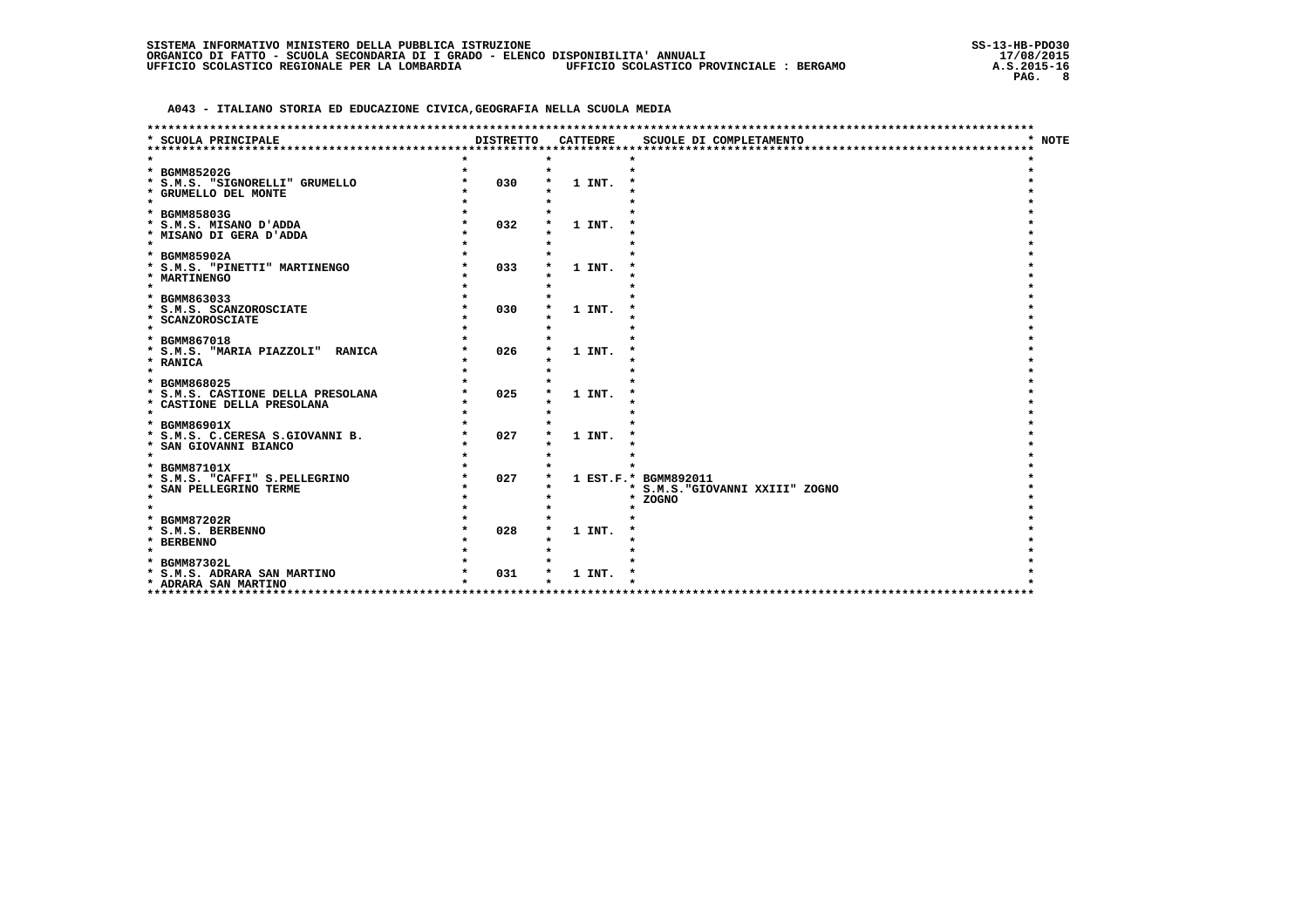| SISTEMA INFORMATIVO MINISTERO DELLA PUBBLICA ISTRUZIONE |  |  |  |  |  |                                                                                  |  |                                          |  |
|---------------------------------------------------------|--|--|--|--|--|----------------------------------------------------------------------------------|--|------------------------------------------|--|
|                                                         |  |  |  |  |  | ORGANICO DI FATTO - SCUOLA SECONDARIA DI I GRADO - ELENCO DISPONIBILITA' ANNUALI |  |                                          |  |
| UFFICIO SCOLASTICO REGIONALE PER LA LOMBARDIA           |  |  |  |  |  |                                                                                  |  | UFFICIO SCOLASTICO PROVINCIALE : BERGAMO |  |

| ***********************************                      |                  |                 | *********************************   |        |
|----------------------------------------------------------|------------------|-----------------|-------------------------------------|--------|
| * SCUOLA PRINCIPALE                                      | <b>DISTRETTO</b> | <b>CATTEDRE</b> | SCUOLE DI COMPLETAMENTO             | * NOTE |
|                                                          |                  |                 |                                     |        |
|                                                          |                  |                 |                                     |        |
| * BGMM85202G                                             |                  |                 |                                     |        |
| * S.M.S. "SIGNORELLI" GRUMELLO<br>* GRUMELLO DEL MONTE   | 030              | 1 INT.          |                                     |        |
| $\star$                                                  |                  |                 |                                     |        |
| * BGMM85803G                                             |                  |                 |                                     |        |
| * S.M.S. MISANO D'ADDA                                   | 032              | 1 INT.          |                                     |        |
| * MISANO DI GERA D'ADDA                                  |                  |                 |                                     |        |
| $\star$                                                  |                  |                 |                                     |        |
| * BGMM85902A                                             |                  |                 |                                     |        |
| * S.M.S. "PINETTI" MARTINENGO                            | 033              | 1 INT.          |                                     |        |
| * MARTINENGO                                             |                  |                 |                                     |        |
| $\bullet$                                                |                  |                 |                                     |        |
| * BGMM863033                                             |                  |                 |                                     |        |
| * S.M.S. SCANZOROSCIATE<br>* SCANZOROSCIATE              | 030              | 1 INT.          |                                     |        |
| $\star$                                                  |                  |                 |                                     |        |
| * BGMM867018                                             |                  |                 |                                     |        |
| * S.M.S. "MARIA PIAZZOLI" RANICA                         | 026              | 1 INT.          |                                     |        |
| * RANICA                                                 |                  |                 |                                     |        |
|                                                          |                  |                 |                                     |        |
| * BGMM868025                                             |                  |                 |                                     |        |
| * S.M.S. CASTIONE DELLA PRESOLANA                        | 025              | 1 INT.          |                                     |        |
| * CASTIONE DELLA PRESOLANA                               |                  |                 |                                     |        |
| $\star$                                                  |                  |                 |                                     |        |
| * BGMM86901X                                             | 027              |                 |                                     |        |
| * S.M.S. C.CERESA S.GIOVANNI B.<br>* SAN GIOVANNI BIANCO |                  | 1 INT.          |                                     |        |
| $\star$                                                  |                  |                 |                                     |        |
| * BGMM87101X                                             |                  |                 |                                     |        |
| * S.M.S. "CAFFI" S.PELLEGRINO                            | 027              |                 | 1 EST.F.* BGMM892011                |        |
| * SAN PELLEGRINO TERME                                   |                  |                 | * S.M.S. "GIOVANNI XXIII" ZOGNO     |        |
| $\star$                                                  |                  |                 | * ZOGNO                             |        |
|                                                          |                  |                 |                                     |        |
| * BGMM87202R                                             |                  |                 |                                     |        |
| * S.M.S. BERBENNO                                        | 028              | 1 INT.          |                                     |        |
| * BERBENNO<br>$\star$                                    |                  |                 |                                     |        |
|                                                          |                  |                 |                                     |        |
| * BGMM87302L<br>* S.M.S. ADRARA SAN MARTINO              | 031              | 1 INT.          |                                     |        |
| * ADRARA SAN MARTINO                                     |                  |                 |                                     |        |
| ****************<br>***************                      |                  |                 | *********************************** |        |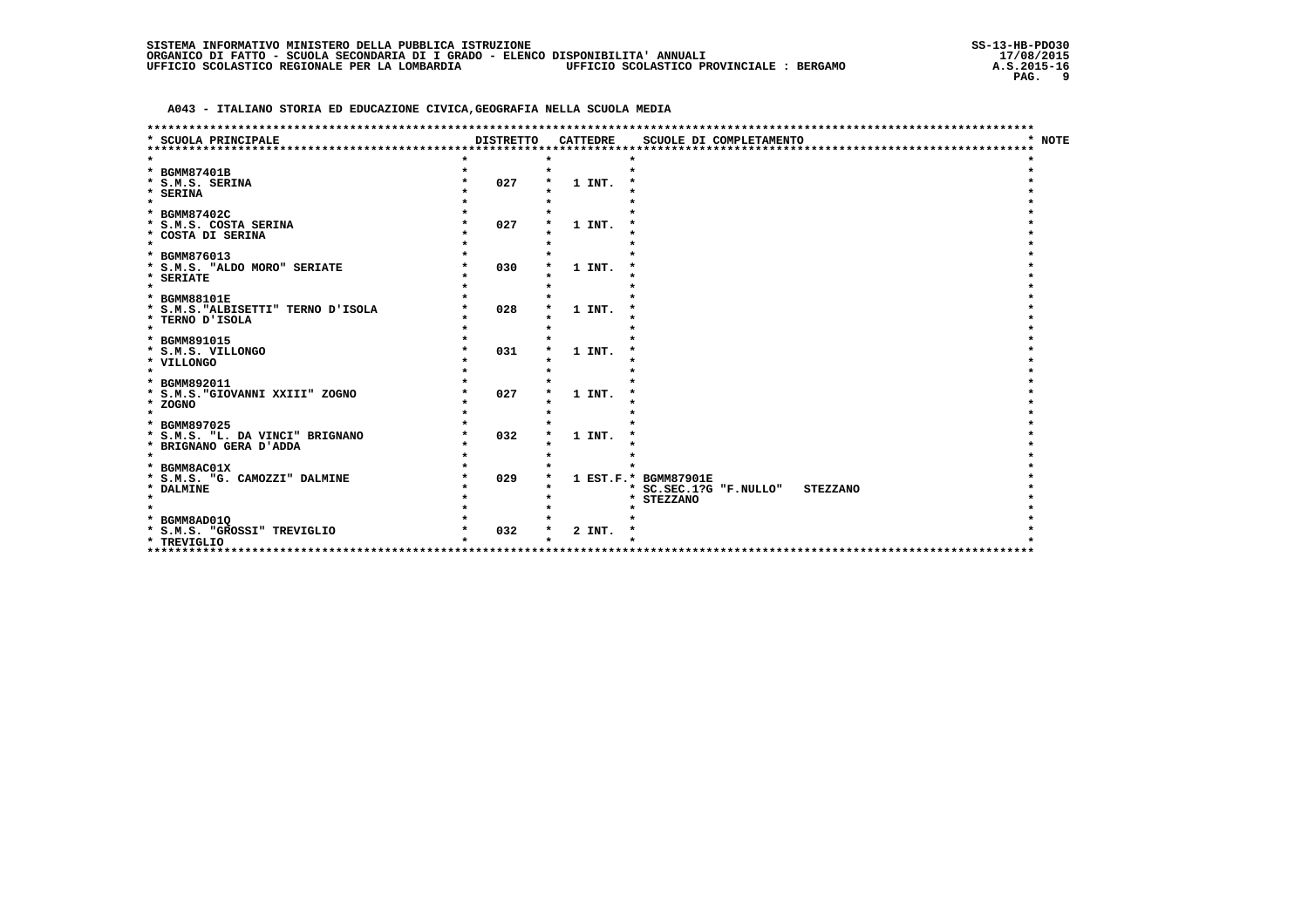|  | SISTEMA INFORMATIVO MINISTERO DELLA PUBBLICA ISTRUZIONE                          |                                          |
|--|----------------------------------------------------------------------------------|------------------------------------------|
|  | ORGANICO DI FATTO - SCUOLA SECONDARIA DI I GRADO - ELENCO DISPONIBILITA' ANNUALI |                                          |
|  | UFFICIO SCOLASTICO REGIONALE PER LA LOMBARDIA                                    | UFFICIO SCOLASTICO PROVINCIALE : BERGAMO |

|                                               |                                 |                 | **********************************        |        |
|-----------------------------------------------|---------------------------------|-----------------|-------------------------------------------|--------|
| * SCUOLA PRINCIPALE<br>********************** | <b>DISTRETTO</b><br>*********** | <b>CATTEDRE</b> | SCUOLE DI COMPLETAMENTO                   | * NOTE |
|                                               |                                 |                 |                                           |        |
|                                               |                                 |                 |                                           |        |
| * BGMM87401B                                  |                                 |                 |                                           |        |
| * S.M.S. SERINA                               | 027                             | 1 INT.          |                                           |        |
| * SERINA                                      |                                 |                 |                                           |        |
| $\star$                                       |                                 |                 |                                           |        |
| * BGMM87402C                                  |                                 |                 |                                           |        |
| * S.M.S. COSTA SERINA                         | 027                             | 1 INT.          |                                           |        |
| * COSTA DI SERINA                             |                                 |                 |                                           |        |
| $\star$                                       |                                 |                 |                                           |        |
| * BGMM876013                                  |                                 |                 |                                           |        |
|                                               |                                 |                 |                                           |        |
| * S.M.S. "ALDO MORO" SERIATE                  | 030                             | 1 INT.          |                                           |        |
| * SERIATE                                     |                                 |                 |                                           |        |
| $\star$                                       |                                 |                 |                                           |        |
| * BGMM88101E                                  |                                 |                 |                                           |        |
| * S.M.S. "ALBISETTI" TERNO D'ISOLA            | 028                             | 1 INT.          |                                           |        |
| * TERNO D'ISOLA                               |                                 |                 |                                           |        |
| $\star$                                       |                                 |                 |                                           |        |
| * BGMM891015                                  |                                 |                 |                                           |        |
| * S.M.S. VILLONGO                             | 031                             | 1 INT.          |                                           |        |
| * VILLONGO                                    |                                 |                 |                                           |        |
| $\star$                                       |                                 |                 |                                           |        |
|                                               |                                 |                 |                                           |        |
| * BGMM892011                                  |                                 |                 |                                           |        |
| * S.M.S. "GIOVANNI XXIII" ZOGNO               | 027                             | 1 INT.          |                                           |        |
| * ZOGNO                                       |                                 |                 |                                           |        |
| $\star$                                       |                                 |                 |                                           |        |
| * BGMM897025                                  |                                 |                 |                                           |        |
| * S.M.S. "L. DA VINCI" BRIGNANO               | 032                             | 1 INT.          |                                           |        |
| * BRIGNANO GERA D'ADDA                        |                                 |                 |                                           |        |
| $\star$                                       |                                 |                 |                                           |        |
| * BGMM8AC01X                                  |                                 |                 |                                           |        |
| * S.M.S. "G. CAMOZZI" DALMINE                 | 029                             |                 | 1 EST.F.* BGMM87901E                      |        |
|                                               |                                 |                 |                                           |        |
| * DALMINE<br>$\star$                          |                                 |                 | * SC.SEC.1?G "F.NULLO"<br><b>STEZZANO</b> |        |
|                                               |                                 |                 | * STEZZANO                                |        |
|                                               |                                 |                 |                                           |        |
| * BGMM8AD01Q                                  |                                 |                 |                                           |        |
| * S.M.S. "GROSSI" TREVIGLIO                   | 032                             | 2 INT.          |                                           |        |
| * TREVIGLIO                                   |                                 |                 |                                           |        |
| **********************                        |                                 |                 |                                           |        |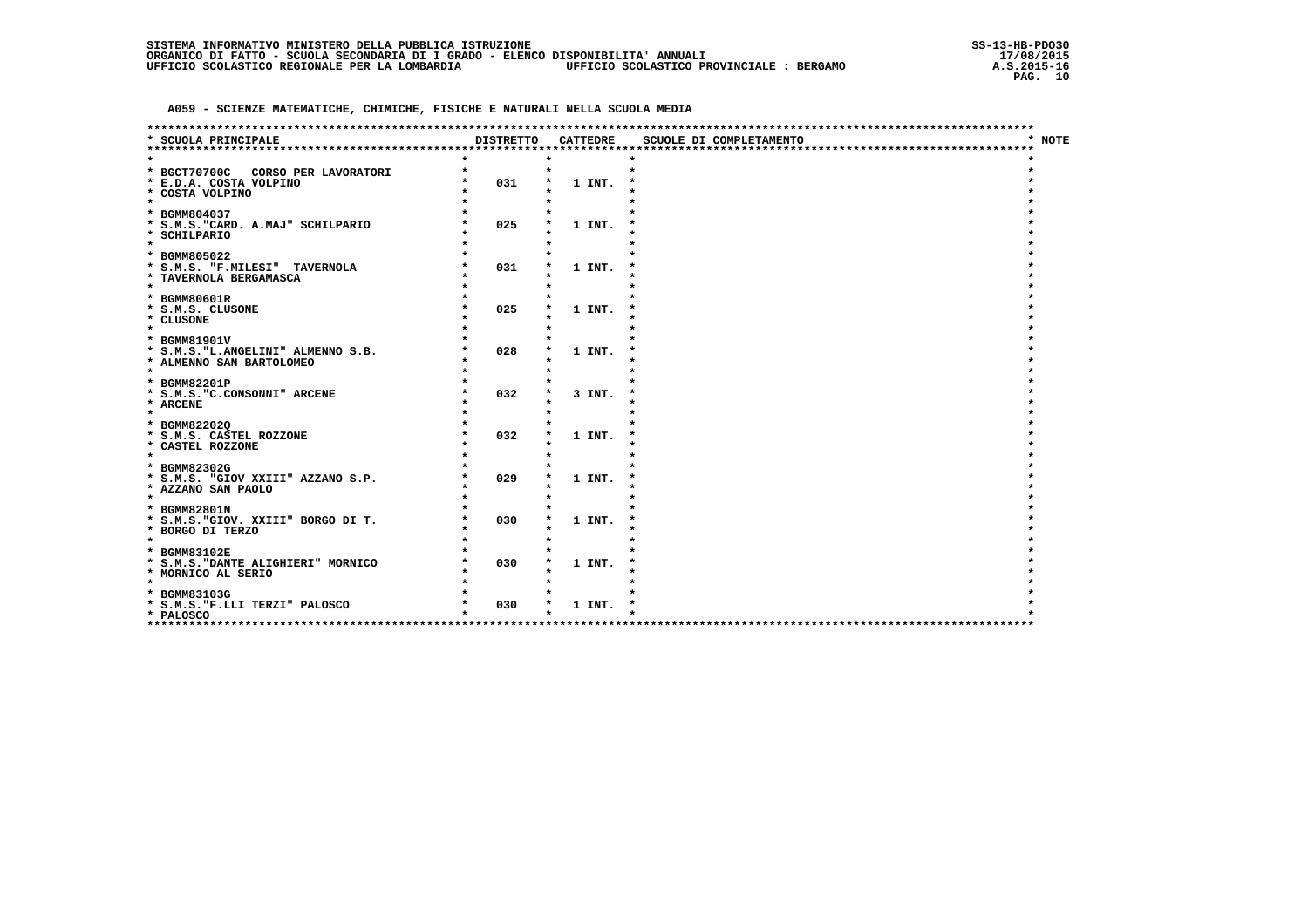|  | SISTEMA INFORMATIVO MINISTERO DELLA PUBBLICA ISTRUZIONE                          |                                          |  |
|--|----------------------------------------------------------------------------------|------------------------------------------|--|
|  | ORGANICO DI FATTO - SCUOLA SECONDARIA DI I GRADO - ELENCO DISPONIBILITA' ANNUALI |                                          |  |
|  | UFFICIO SCOLASTICO REGIONALE PER LA LOMBARDIA                                    | UFFICIO SCOLASTICO PROVINCIALE : BERGAMO |  |

|                                                                                               |                  |                 | ************************ |        |
|-----------------------------------------------------------------------------------------------|------------------|-----------------|--------------------------|--------|
| * SCUOLA PRINCIPALE                                                                           | <b>DISTRETTO</b> | <b>CATTEDRE</b> | SCUOLE DI COMPLETAMENTO  | * NOTE |
|                                                                                               |                  |                 |                          |        |
| * BGCT70700C<br>CORSO PER LAVORATORI<br>* E.D.A. COSTA VOLPINO<br>* COSTA VOLPINO<br>$\star$  | 031              | 1 INT.          | $\star$                  |        |
| * BGMM804037<br>* S.M.S. "CARD. A.MAJ" SCHILPARIO<br>* SCHILPARIO<br>$\star$                  | 025              | 1 INT.          |                          |        |
| * BGMM805022<br>* S.M.S. "F.MILESI" TAVERNOLA<br>* TAVERNOLA BERGAMASCA<br>$\star$            | 031              | 1 INT.          |                          |        |
| * BGMM80601R<br>* S.M.S. CLUSONE<br>* CLUSONE<br>$\star$                                      | 025              | 1 INT.          |                          |        |
| * BGMM81901V<br>* S.M.S. "L. ANGELINI" ALMENNO S.B.<br>* ALMENNO SAN BARTOLOMEO<br>$\star$    | 028              | 1 INT.          |                          |        |
| * BGMM82201P<br>* S.M.S. "C.CONSONNI" ARCENE<br>* ARCENE<br>$\star$                           | 032              | 3 INT.          |                          |        |
| * BGMM822020<br>* S.M.S. CASTEL ROZZONE<br>* CASTEL ROZZONE<br>$\star$                        | 032              | 1 INT.          |                          |        |
| * BGMM82302G<br>* S.M.S. "GIOV XXIII" AZZANO S.P.<br>* AZZANO SAN PAOLO<br>$\star$            | 029              | 1 INT.          |                          |        |
| * BGMM82801N<br>* S.M.S. "GIOV. XXIII" BORGO DI T.<br>* BORGO DI TERZO<br>$\star$             | 030              | 1 INT.          |                          |        |
| * BGMM83102E<br>* S.M.S. "DANTE ALIGHIERI" MORNICO<br>* MORNICO AL SERIO<br>$\star$           | 030              | 1 INT.          |                          |        |
| * BGMM83103G<br>* S.M.S. "F.LLI TERZI" PALOSCO<br>* PALOSCO<br>****************************** | 030              | 1 INT.          |                          |        |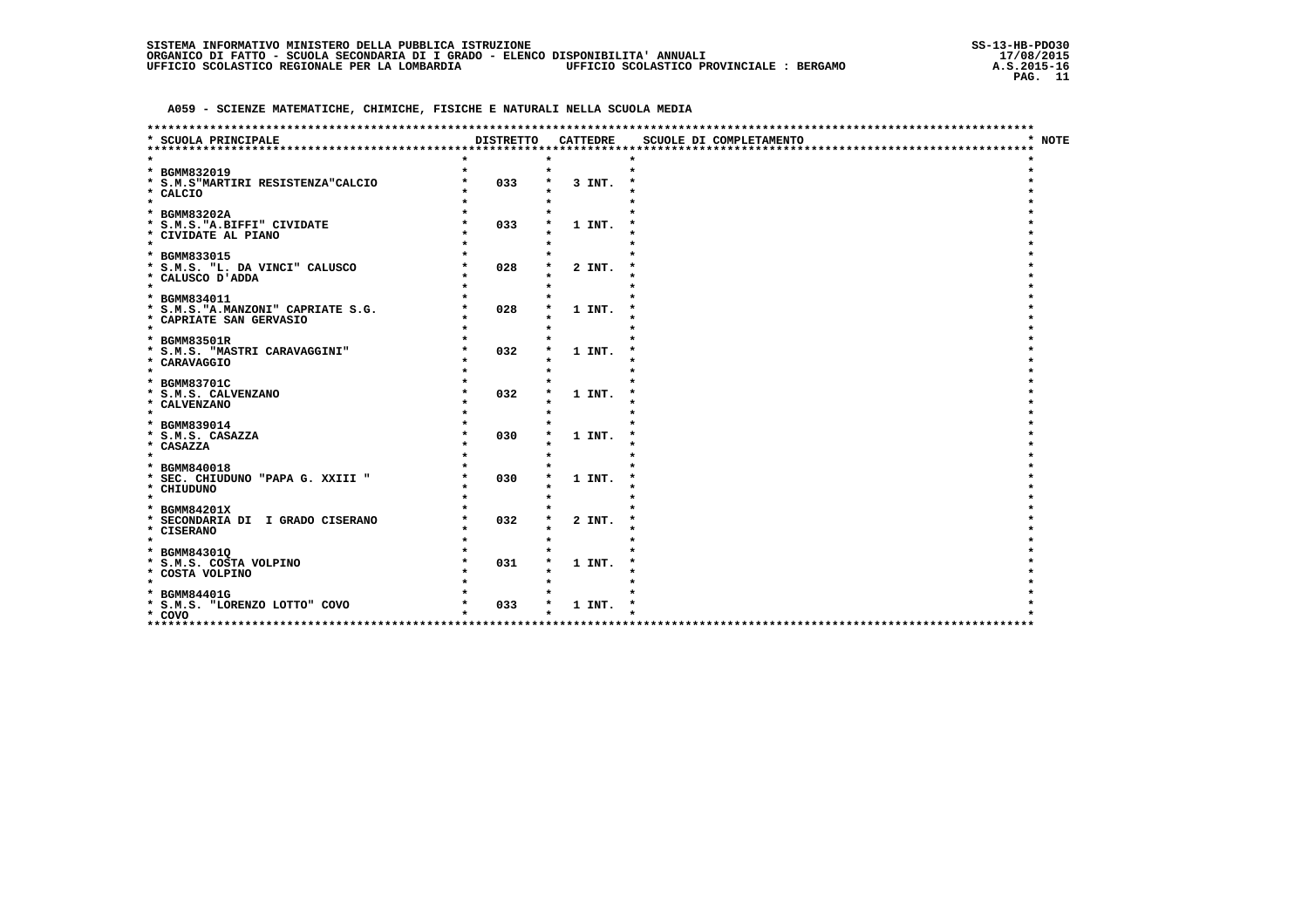|                                                  |                  |                 | ************************* |        |
|--------------------------------------------------|------------------|-----------------|---------------------------|--------|
| * SCUOLA PRINCIPALE                              | <b>DISTRETTO</b> | <b>CATTEDRE</b> | SCUOLE DI COMPLETAMENTO   | * NOTE |
|                                                  |                  |                 |                           |        |
| * BGMM832019                                     |                  | $\bullet$       | $\bullet$                 |        |
| * S.M.S"MARTIRI RESISTENZA"CALCIO                | 033              | 3 INT.          |                           |        |
| * CALCIO                                         |                  |                 |                           |        |
| $\star$                                          |                  |                 |                           |        |
| * BGMM83202A                                     |                  |                 |                           |        |
| * S.M.S. "A.BIFFI" CIVIDATE                      | 033              | 1 INT.          |                           |        |
| * CIVIDATE AL PIANO<br>$\star$                   |                  |                 |                           |        |
| * BGMM833015                                     |                  |                 |                           |        |
| * S.M.S. "L. DA VINCI" CALUSCO                   | 028              | 2 INT.          |                           |        |
| * CALUSCO D'ADDA                                 |                  |                 |                           |        |
| $\star$                                          |                  |                 |                           |        |
| * BGMM834011                                     |                  |                 |                           |        |
| * S.M.S. "A.MANZONI" CAPRIATE S.G.               | 028              | 1 INT.          |                           |        |
| * CAPRIATE SAN GERVASIO<br>$\star$               |                  |                 |                           |        |
| * BGMM83501R                                     |                  |                 |                           |        |
| * S.M.S. "MASTRI CARAVAGGINI"                    | 032              | 1 INT.          |                           |        |
| * CARAVAGGIO                                     |                  |                 |                           |        |
| $\star$                                          |                  |                 |                           |        |
| * BGMM83701C                                     |                  |                 |                           |        |
| * S.M.S. CALVENZANO<br>* CALVENZANO              | 032              | 1 INT.          |                           |        |
| $\star$                                          |                  |                 |                           |        |
| * BGMM839014                                     |                  |                 |                           |        |
| * S.M.S. CASAZZA                                 | 030              | 1 INT.          |                           |        |
| * CASAZZA                                        |                  |                 |                           |        |
| $\star$                                          |                  |                 |                           |        |
| * BGMM840018<br>* SEC. CHIUDUNO "PAPA G. XXIII " | 030              | 1 INT.          |                           |        |
| * CHIUDUNO                                       |                  |                 |                           |        |
| $\star$                                          |                  |                 |                           |        |
| * BGMM84201X                                     |                  |                 |                           |        |
| * SECONDARIA DI I GRADO CISERANO                 | 032              | 2 INT.          |                           |        |
| * CISERANO<br>$\star$                            |                  |                 |                           |        |
|                                                  |                  |                 |                           |        |
| * BGMM843010<br>* S.M.S. COSTA VOLPINO           | 031              | 1 INT.          |                           |        |
| * COSTA VOLPINO                                  |                  |                 |                           |        |
| $\star$                                          |                  |                 |                           |        |
| * BGMM84401G                                     |                  |                 |                           |        |
| * S.M.S. "LORENZO LOTTO" COVO                    | 033              | 1 INT.          |                           |        |
| * COVO<br>*********************                  |                  |                 |                           |        |
|                                                  |                  |                 |                           |        |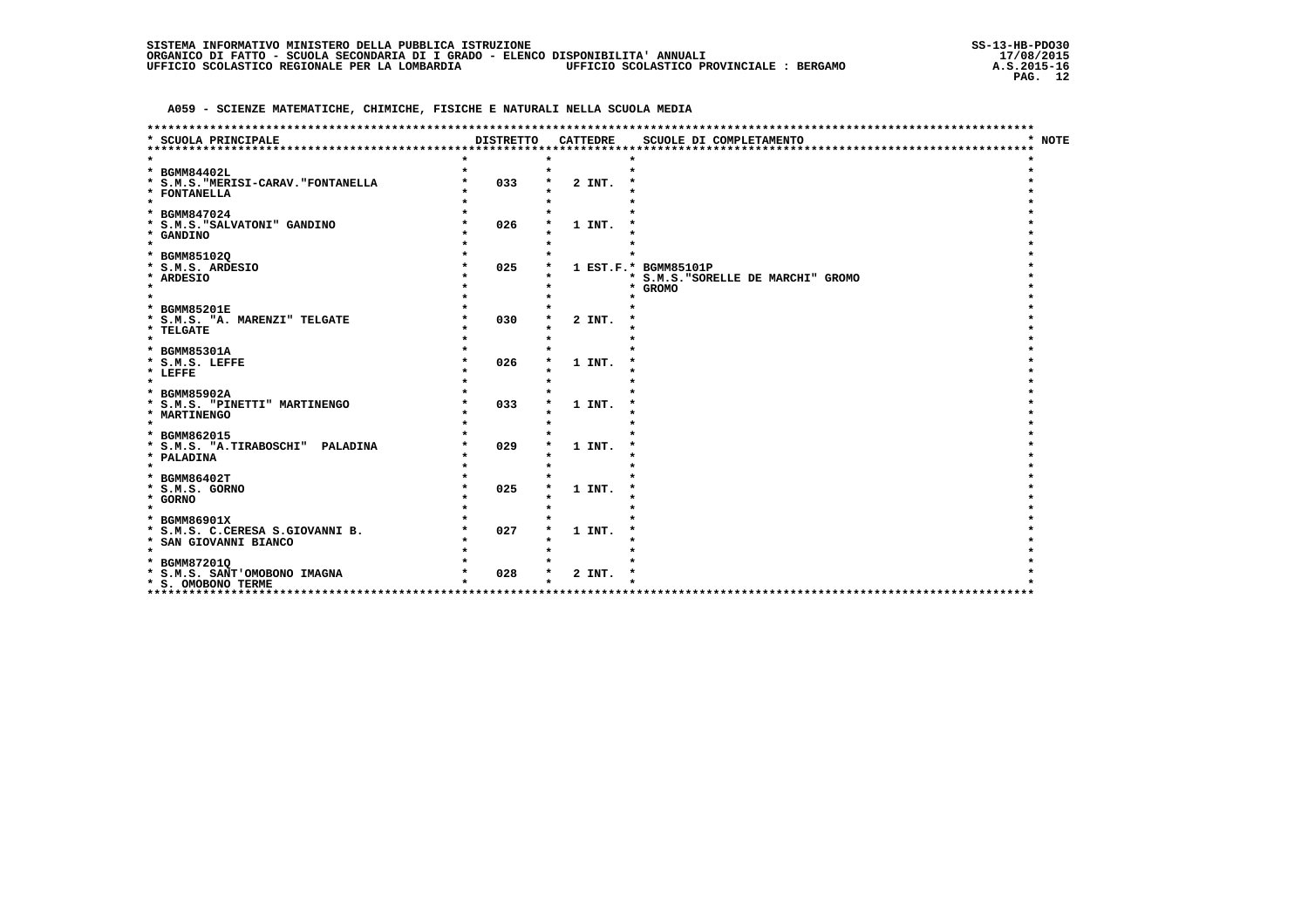|                                     |                  |                 | ******************************     |  |
|-------------------------------------|------------------|-----------------|------------------------------------|--|
| <b>SCUOLA PRINCIPALE</b>            | <b>DISTRETTO</b> | <b>CATTEDRE</b> | * NOTE<br>SCUOLE DI COMPLETAMENTO  |  |
|                                     |                  |                 |                                    |  |
|                                     |                  |                 |                                    |  |
| * BGMM84402L                        |                  |                 |                                    |  |
| * S.M.S. "MERISI-CARAV. "FONTANELLA | 033              | 2 INT.          |                                    |  |
| * FONTANELLA<br>$\star$             |                  |                 |                                    |  |
| * BGMM847024                        |                  |                 |                                    |  |
| * S.M.S. "SALVATONI" GANDINO        | 026              | 1 INT.          |                                    |  |
| * GANDINO                           |                  |                 |                                    |  |
| $\star$                             |                  |                 |                                    |  |
| * BGMM851020                        |                  |                 |                                    |  |
| * S.M.S. ARDESIO                    | 025              |                 | 1 EST.F.* BGMM85101P               |  |
| * ARDESIO                           |                  |                 | * S.M.S. "SORELLE DE MARCHI" GROMO |  |
| $\star$                             |                  |                 | <b>GROMO</b><br>*                  |  |
|                                     |                  |                 |                                    |  |
| * BGMM85201E                        |                  |                 |                                    |  |
| * S.M.S. "A. MARENZI" TELGATE       | 030              | 2 INT.          |                                    |  |
| * TELGATE                           |                  |                 |                                    |  |
| $\star$                             |                  |                 |                                    |  |
| * BGMM85301A                        |                  |                 |                                    |  |
| * S.M.S. LEFFE                      | 026              | 1 INT.          |                                    |  |
| * LEFFE<br>$\star$                  |                  |                 |                                    |  |
| * BGMM85902A                        |                  |                 |                                    |  |
| * S.M.S. "PINETTI" MARTINENGO       | 033              | 1 INT.          |                                    |  |
| * MARTINENGO                        |                  |                 |                                    |  |
| $\star$                             |                  |                 |                                    |  |
| * BGMM862015                        |                  |                 |                                    |  |
| * S.M.S. "A.TIRABOSCHI" PALADINA    | 029              | 1 INT.          |                                    |  |
| * PALADINA                          |                  |                 |                                    |  |
| $\star$                             |                  |                 |                                    |  |
| * BGMM86402T                        |                  |                 |                                    |  |
| * S.M.S. GORNO                      | 025              | 1 INT.          |                                    |  |
| * GORNO                             |                  |                 |                                    |  |
| $\star$                             |                  |                 |                                    |  |
| * BGMM86901X                        |                  |                 |                                    |  |
| * S.M.S. C.CERESA S.GIOVANNI B.     | 027              | 1 INT.          |                                    |  |
| * SAN GIOVANNI BIANCO<br>$\star$    |                  |                 |                                    |  |
| * BGMM872010                        |                  |                 |                                    |  |
| * S.M.S. SANT'OMOBONO IMAGNA        | 028              | 2 INT.          |                                    |  |
| * S. OMOBONO TERME                  |                  |                 |                                    |  |
| **********************              |                  |                 | ********************************   |  |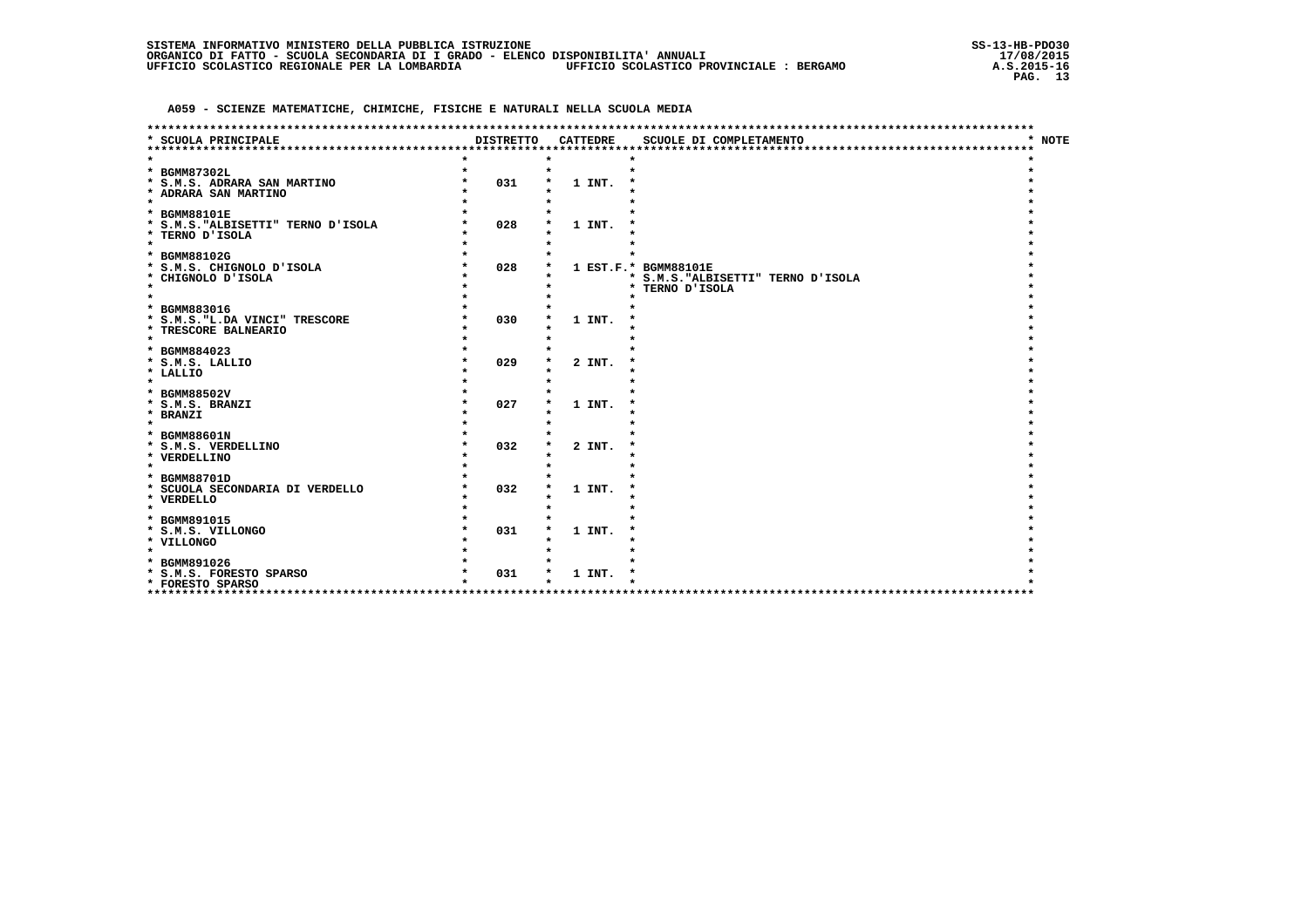| * NOTE<br>* SCUOLA PRINCIPALE<br><b>DISTRETTO</b><br><b>CATTEDRE</b><br>SCUOLE DI COMPLETAMENTO<br>* BGMM87302L<br>031<br>* S.M.S. ADRARA SAN MARTINO<br>1 INT.<br>* ADRARA SAN MARTINO<br>$\star$<br>* BGMM88101E<br>* S.M.S. "ALBISETTI" TERNO D'ISOLA<br>028<br>1 INT.<br>* TERNO D'ISOLA<br>$\star$<br>* BGMM88102G<br>028<br>1 EST.F.* BGMM88101E<br>* S.M.S. CHIGNOLO D'ISOLA<br>* CHIGNOLO D'ISOLA<br>* S.M.S. "ALBISETTI" TERNO D'ISOLA<br>$\star$<br>* TERNO D'ISOLA<br>* BGMM883016<br>030<br>* S.M.S. "L.DA VINCI" TRESCORE<br>1 INT. |
|--------------------------------------------------------------------------------------------------------------------------------------------------------------------------------------------------------------------------------------------------------------------------------------------------------------------------------------------------------------------------------------------------------------------------------------------------------------------------------------------------------------------------------------------------|
|                                                                                                                                                                                                                                                                                                                                                                                                                                                                                                                                                  |
|                                                                                                                                                                                                                                                                                                                                                                                                                                                                                                                                                  |
|                                                                                                                                                                                                                                                                                                                                                                                                                                                                                                                                                  |
|                                                                                                                                                                                                                                                                                                                                                                                                                                                                                                                                                  |
|                                                                                                                                                                                                                                                                                                                                                                                                                                                                                                                                                  |
|                                                                                                                                                                                                                                                                                                                                                                                                                                                                                                                                                  |
|                                                                                                                                                                                                                                                                                                                                                                                                                                                                                                                                                  |
|                                                                                                                                                                                                                                                                                                                                                                                                                                                                                                                                                  |
|                                                                                                                                                                                                                                                                                                                                                                                                                                                                                                                                                  |
|                                                                                                                                                                                                                                                                                                                                                                                                                                                                                                                                                  |
|                                                                                                                                                                                                                                                                                                                                                                                                                                                                                                                                                  |
|                                                                                                                                                                                                                                                                                                                                                                                                                                                                                                                                                  |
|                                                                                                                                                                                                                                                                                                                                                                                                                                                                                                                                                  |
|                                                                                                                                                                                                                                                                                                                                                                                                                                                                                                                                                  |
|                                                                                                                                                                                                                                                                                                                                                                                                                                                                                                                                                  |
|                                                                                                                                                                                                                                                                                                                                                                                                                                                                                                                                                  |
| * TRESCORE BALNEARIO                                                                                                                                                                                                                                                                                                                                                                                                                                                                                                                             |
| $\star$                                                                                                                                                                                                                                                                                                                                                                                                                                                                                                                                          |
| * BGMM884023                                                                                                                                                                                                                                                                                                                                                                                                                                                                                                                                     |
| 029<br>* S.M.S. LALLIO<br>2 INT.                                                                                                                                                                                                                                                                                                                                                                                                                                                                                                                 |
| * LALLIO                                                                                                                                                                                                                                                                                                                                                                                                                                                                                                                                         |
| $\star$                                                                                                                                                                                                                                                                                                                                                                                                                                                                                                                                          |
| * BGMM88502V                                                                                                                                                                                                                                                                                                                                                                                                                                                                                                                                     |
| 027<br>1 INT.<br>* S.M.S. BRANZI                                                                                                                                                                                                                                                                                                                                                                                                                                                                                                                 |
| * BRANZI                                                                                                                                                                                                                                                                                                                                                                                                                                                                                                                                         |
| $\star$                                                                                                                                                                                                                                                                                                                                                                                                                                                                                                                                          |
| * BGMM88601N                                                                                                                                                                                                                                                                                                                                                                                                                                                                                                                                     |
| 032<br>* S.M.S. VERDELLINO<br>2 INT.<br>* VERDELLINO                                                                                                                                                                                                                                                                                                                                                                                                                                                                                             |
| $\star$                                                                                                                                                                                                                                                                                                                                                                                                                                                                                                                                          |
| * BGMM88701D                                                                                                                                                                                                                                                                                                                                                                                                                                                                                                                                     |
| 032<br>* SCUOLA SECONDARIA DI VERDELLO<br>1 INT.                                                                                                                                                                                                                                                                                                                                                                                                                                                                                                 |
| * VERDELLO                                                                                                                                                                                                                                                                                                                                                                                                                                                                                                                                       |
| $\star$                                                                                                                                                                                                                                                                                                                                                                                                                                                                                                                                          |
| * BGMM891015                                                                                                                                                                                                                                                                                                                                                                                                                                                                                                                                     |
| 031<br>* S.M.S. VILLONGO<br>1 INT.                                                                                                                                                                                                                                                                                                                                                                                                                                                                                                               |
| * VILLONGO                                                                                                                                                                                                                                                                                                                                                                                                                                                                                                                                       |
| $\star$                                                                                                                                                                                                                                                                                                                                                                                                                                                                                                                                          |
| * BGMM891026                                                                                                                                                                                                                                                                                                                                                                                                                                                                                                                                     |
| 031<br>* S.M.S. FORESTO SPARSO<br>1 INT.                                                                                                                                                                                                                                                                                                                                                                                                                                                                                                         |
| * FORESTO SPARSO<br>************************************<br>*********************************                                                                                                                                                                                                                                                                                                                                                                                                                                                    |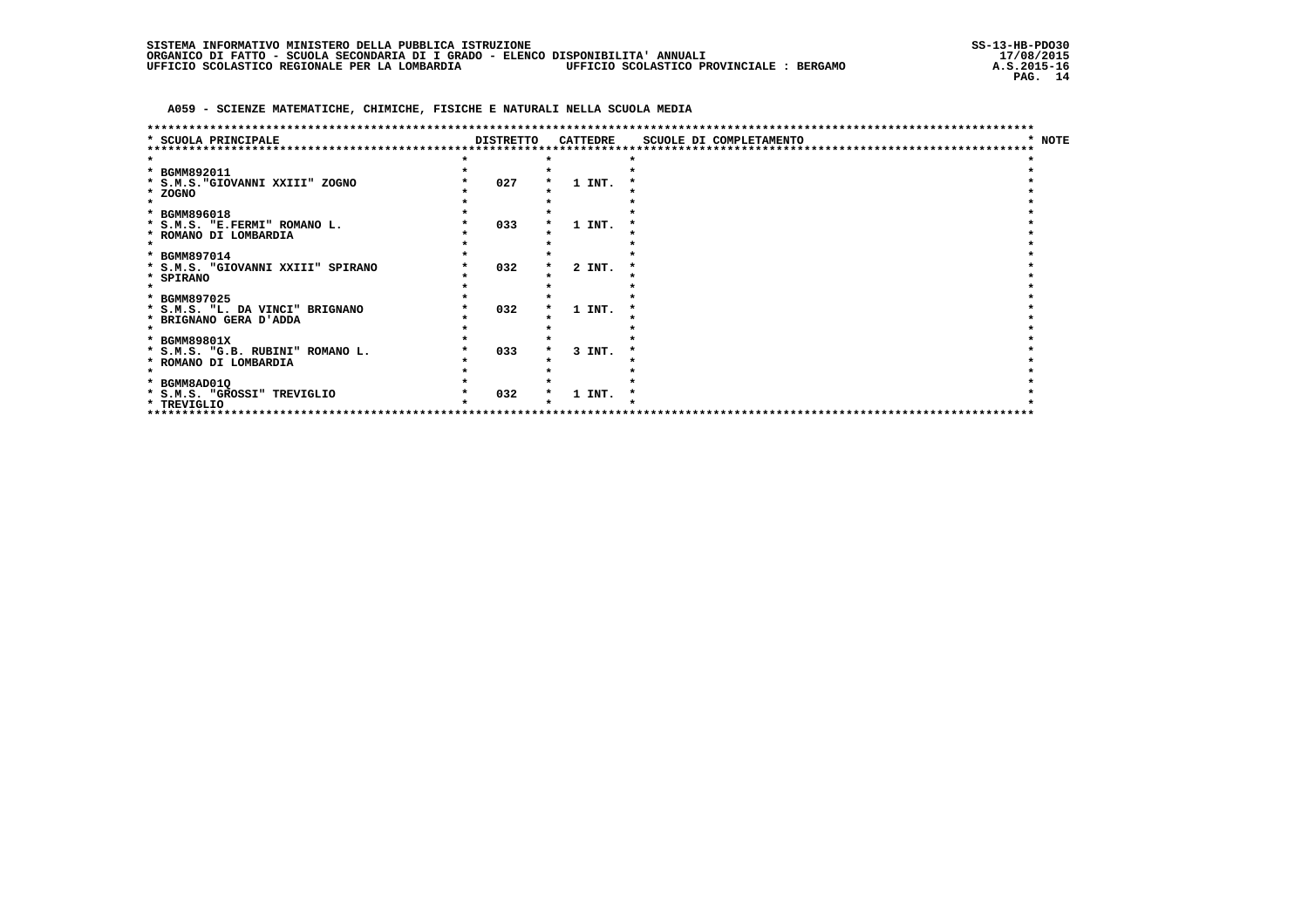|                                   |                  |                 | *****************************    |        |
|-----------------------------------|------------------|-----------------|----------------------------------|--------|
| * SCUOLA PRINCIPALE               | <b>DISTRETTO</b> | <b>CATTEDRE</b> | SCUOLE DI COMPLETAMENTO          | * NOTE |
|                                   |                  |                 |                                  |        |
|                                   |                  |                 |                                  |        |
| * BGMM892011                      |                  |                 |                                  |        |
| * S.M.S. "GIOVANNI XXIII" ZOGNO   | 027              | 1 INT.          |                                  |        |
| * ZOGNO                           |                  |                 |                                  |        |
|                                   |                  |                 |                                  |        |
| * BGMM896018                      |                  |                 |                                  |        |
| * S.M.S. "E.FERMI" ROMANO L.      | 033              | 1 INT.          |                                  |        |
| * ROMANO DI LOMBARDIA             |                  |                 |                                  |        |
|                                   |                  |                 |                                  |        |
| * BGMM897014                      |                  |                 |                                  |        |
| * S.M.S. "GIOVANNI XXIII" SPIRANO | 032              | 2 INT.          |                                  |        |
| * SPIRANO                         |                  |                 |                                  |        |
|                                   |                  |                 |                                  |        |
| * BGMM897025                      |                  |                 |                                  |        |
| * S.M.S. "L. DA VINCI" BRIGNANO   | 032              | 1 INT.          |                                  |        |
| * BRIGNANO GERA D'ADDA            |                  |                 |                                  |        |
|                                   |                  |                 |                                  |        |
| * BGMM89801X                      |                  |                 |                                  |        |
| * S.M.S. "G.B. RUBINI" ROMANO L.  | 033              | 3 INT.          |                                  |        |
| * ROMANO DI LOMBARDIA             |                  |                 |                                  |        |
|                                   |                  |                 |                                  |        |
| * BGMM8AD01Q                      |                  |                 |                                  |        |
| * S.M.S. "GROSSI" TREVIGLIO       | 032              | 1 INT.          |                                  |        |
| * TREVIGLIO                       |                  |                 |                                  |        |
|                                   |                  |                 | ******************************** |        |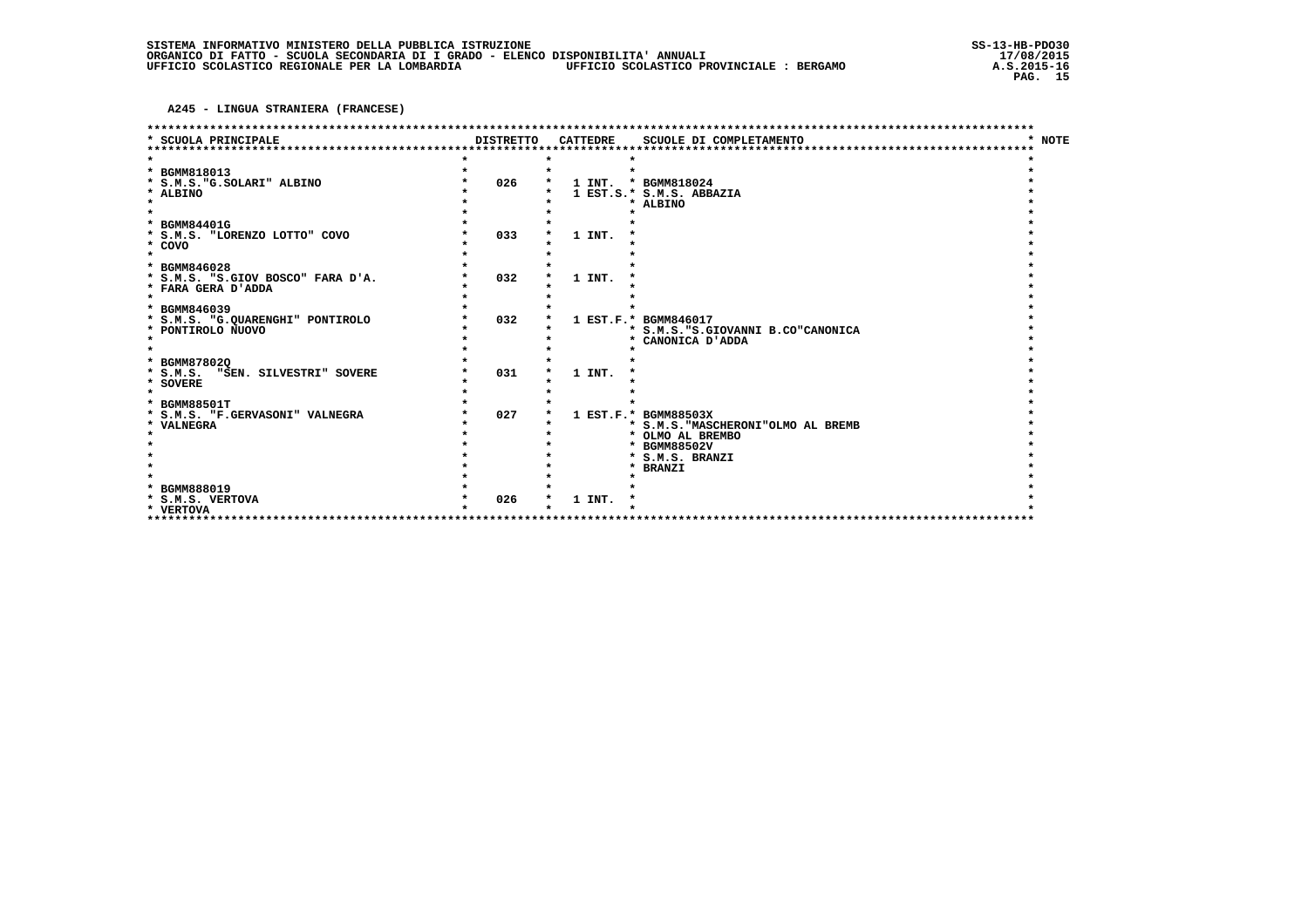A245 - LINGUA STRANIERA (FRANCESE)

|                                                   |                  |                 | *********************************                          |             |
|---------------------------------------------------|------------------|-----------------|------------------------------------------------------------|-------------|
| SCUOLA PRINCIPALE                                 | <b>DISTRETTO</b> | <b>CATTEDRE</b> | SCUOLE DI COMPLETAMENTO                                    | <b>NOTE</b> |
| ************************                          |                  |                 |                                                            |             |
| * BGMM818013                                      |                  |                 |                                                            |             |
| * S.M.S. "G. SOLARI" ALBINO                       | 026              | 1 INT.          | * BGMM818024                                               |             |
| * ALBINO                                          |                  |                 | 1 EST.S.* S.M.S. ABBAZIA                                   |             |
| $\star$                                           |                  |                 | * ALBINO                                                   |             |
|                                                   |                  |                 |                                                            |             |
| * BGMM84401G                                      |                  |                 |                                                            |             |
| * S.M.S. "LORENZO LOTTO" COVO                     | 033              | 1 INT.          |                                                            |             |
| * COVO                                            |                  |                 |                                                            |             |
| $\star$                                           |                  |                 |                                                            |             |
| * BGMM846028<br>* S.M.S. "S.GIOV BOSCO" FARA D'A. | 032              | 1 INT.          |                                                            |             |
| * FARA GERA D'ADDA                                |                  |                 |                                                            |             |
| $\star$                                           |                  |                 |                                                            |             |
| * BGMM846039                                      |                  |                 |                                                            |             |
| * S.M.S. "G.QUARENGHI" PONTIROLO                  | 032              |                 | 1 EST.F.* BGMM846017                                       |             |
| * PONTIROLO NUOVO                                 |                  |                 | * S.M.S. "S.GIOVANNI B.CO"CANONICA                         |             |
| $\star$                                           |                  |                 | CANONICA D'ADDA<br>*                                       |             |
|                                                   |                  |                 |                                                            |             |
| <b>BGMM87802Q</b><br>*                            |                  |                 |                                                            |             |
| * S.M.S. "SEN. SILVESTRI" SOVERE                  | 031              | 1 INT.          |                                                            |             |
| * SOVERE                                          |                  |                 |                                                            |             |
| $\star$                                           |                  |                 |                                                            |             |
| * BGMM88501T                                      |                  |                 |                                                            |             |
| * S.M.S. "F.GERVASONI" VALNEGRA<br>* VALNEGRA     | 027              |                 | 1 EST.F.* BGMM88503X<br>* S.M.S. "MASCHERONI"OLMO AL BREMB |             |
|                                                   |                  |                 | * OLMO AL BREMBO                                           |             |
|                                                   |                  |                 | * BGMM88502V                                               |             |
|                                                   |                  |                 | * S.M.S. BRANZI                                            |             |
|                                                   |                  |                 | * BRANZI                                                   |             |
|                                                   |                  |                 |                                                            |             |
| * BGMM888019                                      |                  |                 |                                                            |             |
| * S.M.S. VERTOVA                                  | 026              | 1 INT.          |                                                            |             |
| * VERTOVA                                         |                  |                 |                                                            |             |
|                                                   |                  |                 |                                                            |             |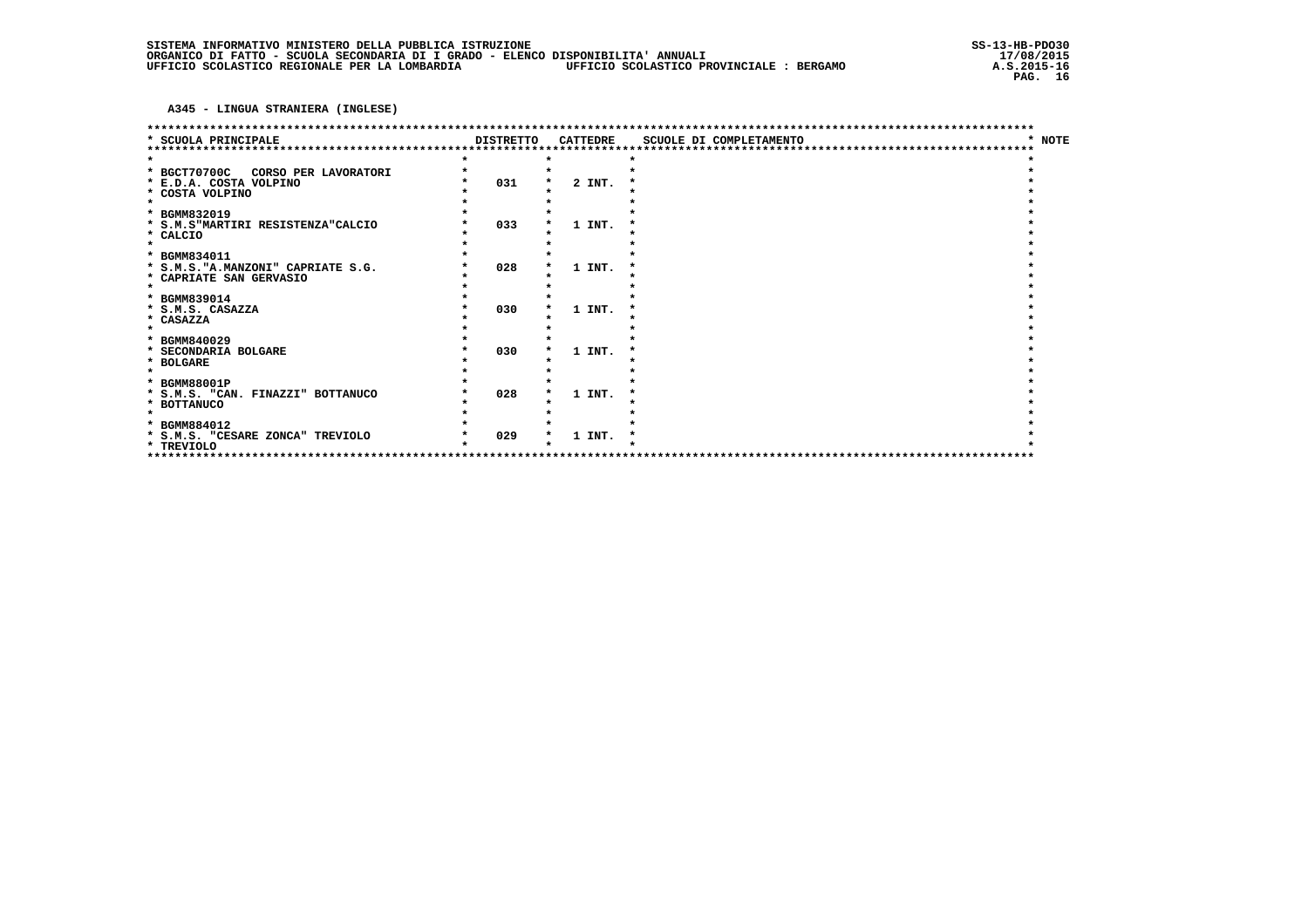A345 - LINGUA STRANIERA (INGLESE)

|                                                                                          |                  |                 | ************************* |             |  |
|------------------------------------------------------------------------------------------|------------------|-----------------|---------------------------|-------------|--|
| <b>SCUOLA PRINCIPALE</b>                                                                 | <b>DISTRETTO</b> | <b>CATTEDRE</b> | SCUOLE DI COMPLETAMENTO   | <b>NOTE</b> |  |
| * BGCT70700C<br>CORSO PER LAVORATORI<br>* E.D.A. COSTA VOLPINO<br>* COSTA VOLPINO        | 031              | 2 INT.          |                           |             |  |
| * BGMM832019<br>* S.M.S"MARTIRI RESISTENZA"CALCIO<br>* CALCIO<br>$\bullet$               | 033              | 1 INT.          |                           |             |  |
| * BGMM834011<br>* S.M.S. "A.MANZONI" CAPRIATE S.G.<br>* CAPRIATE SAN GERVASIO<br>$\star$ | 028              | 1 INT.          |                           |             |  |
| * BGMM839014<br>* S.M.S. CASAZZA<br>* CASAZZA                                            | 030              | 1 INT.          |                           |             |  |
| * BGMM840029<br>* SECONDARIA BOLGARE<br>* BOLGARE                                        | 030              | 1 INT.          |                           |             |  |
| * BGMM88001P<br>* S.M.S. "CAN. FINAZZI" BOTTANUCO<br>* BOTTANUCO                         | 028              | 1 INT.          |                           |             |  |
| * BGMM884012<br>* S.M.S. "CESARE ZONCA" TREVIOLO<br>* TREVIOLO<br>*********              | 029              | 1 INT.          |                           |             |  |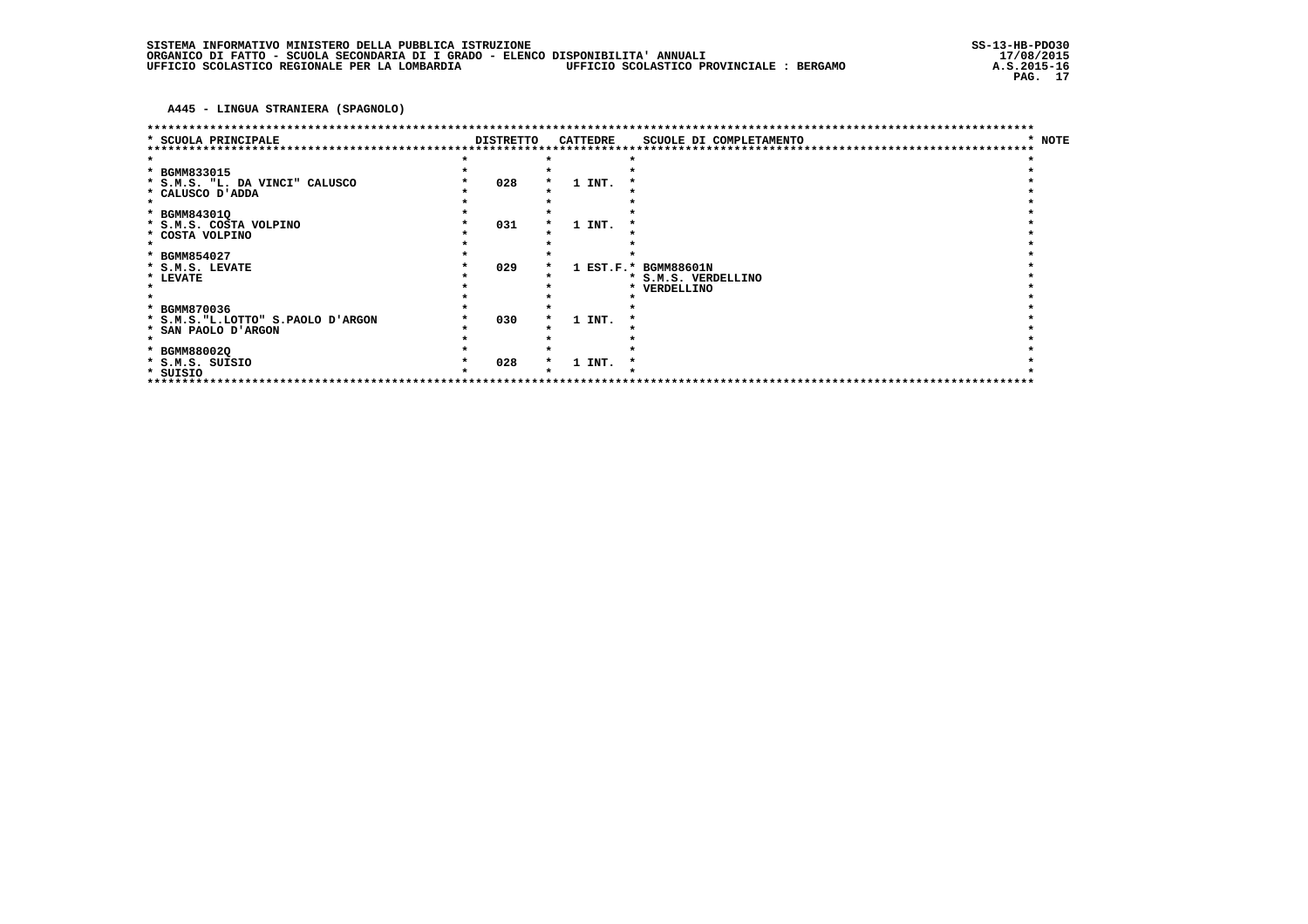A445 - LINGUA STRANIERA (SPAGNOLO)

| * SCUOLA PRINCIPALE                | <b>DISTRETTO</b> |  | CATTEDRE | SCUOLE DI COMPLETAMENTO              | <b>NOTE</b> |  |  |  |
|------------------------------------|------------------|--|----------|--------------------------------------|-------------|--|--|--|
|                                    |                  |  |          |                                      |             |  |  |  |
|                                    |                  |  |          |                                      |             |  |  |  |
| * BGMM833015                       |                  |  |          |                                      |             |  |  |  |
| * S.M.S. "L. DA VINCI" CALUSCO     | 028              |  | 1 INT.   |                                      |             |  |  |  |
| * CALUSCO D'ADDA                   |                  |  |          |                                      |             |  |  |  |
|                                    |                  |  |          |                                      |             |  |  |  |
| * BGMM84301Q                       |                  |  |          |                                      |             |  |  |  |
| * S.M.S. COSTA VOLPINO             | 031              |  | 1 INT.   |                                      |             |  |  |  |
| * COSTA VOLPINO                    |                  |  |          |                                      |             |  |  |  |
|                                    |                  |  |          |                                      |             |  |  |  |
| * BGMM854027                       |                  |  |          |                                      |             |  |  |  |
| * S.M.S. LEVATE                    | 029              |  |          | 1 EST.F.* BGMM88601N                 |             |  |  |  |
| * LEVATE                           |                  |  |          | * S.M.S. VERDELLINO                  |             |  |  |  |
|                                    |                  |  |          | VERDELLINO<br>*                      |             |  |  |  |
|                                    |                  |  |          |                                      |             |  |  |  |
| * BGMM870036                       |                  |  |          |                                      |             |  |  |  |
| * S.M.S. "L.LOTTO" S.PAOLO D'ARGON | 030              |  | 1 INT.   |                                      |             |  |  |  |
| * SAN PAOLO D'ARGON                |                  |  |          |                                      |             |  |  |  |
|                                    |                  |  |          |                                      |             |  |  |  |
| * BGMM88002Q                       |                  |  |          |                                      |             |  |  |  |
| * S.M.S. SUISIO                    | 028              |  | 1 INT.   |                                      |             |  |  |  |
| * SUISIO                           |                  |  |          |                                      |             |  |  |  |
|                                    |                  |  |          | ************************************ |             |  |  |  |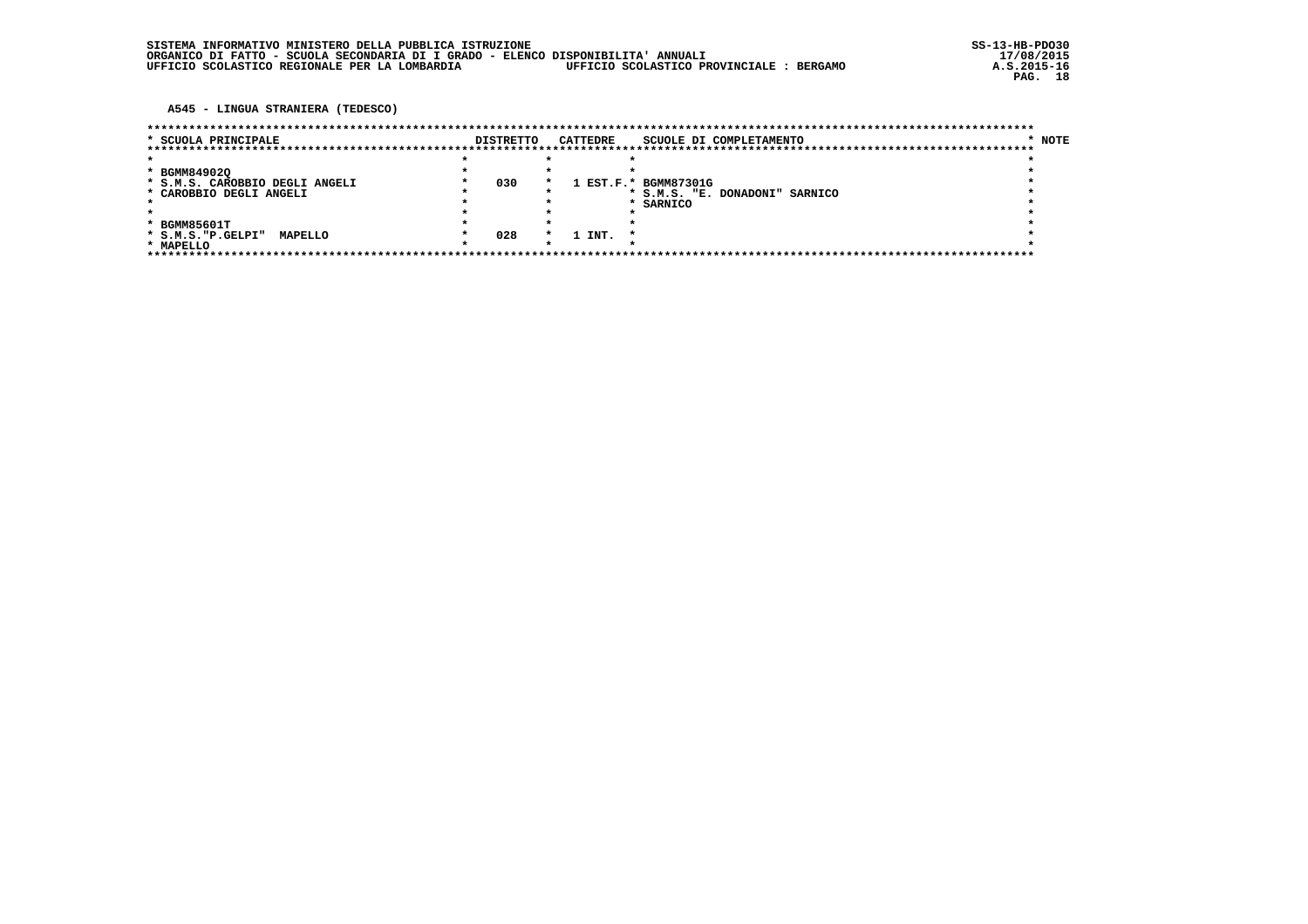A545 - LINGUA STRANIERA (TEDESCO)

| * SCUOLA PRINCIPALE            | <b>DISTRETTO</b> |         | CATTEDRE | SCUOLE DI COMPLETAMENTO        | * NOTE |  |
|--------------------------------|------------------|---------|----------|--------------------------------|--------|--|
|                                |                  |         |          |                                |        |  |
|                                |                  |         |          |                                |        |  |
| * BGMM849020                   |                  |         |          |                                |        |  |
| * S.M.S. CAROBBIO DEGLI ANGELI | 030              | *       |          | 1 EST.F.* BGMM87301G           |        |  |
| * CAROBBIO DEGLI ANGELI        |                  |         |          | * S.M.S. "E. DONADONI" SARNICO |        |  |
|                                |                  |         |          | * SARNICO                      |        |  |
|                                |                  |         |          |                                |        |  |
| * BGMM85601T                   |                  |         |          |                                |        |  |
| * S.M.S. "P.GELPI"<br>MAPELLO  | 028              | $\star$ | 1 INT.   |                                |        |  |
| * MAPELLO                      |                  |         |          |                                |        |  |
|                                |                  |         |          |                                |        |  |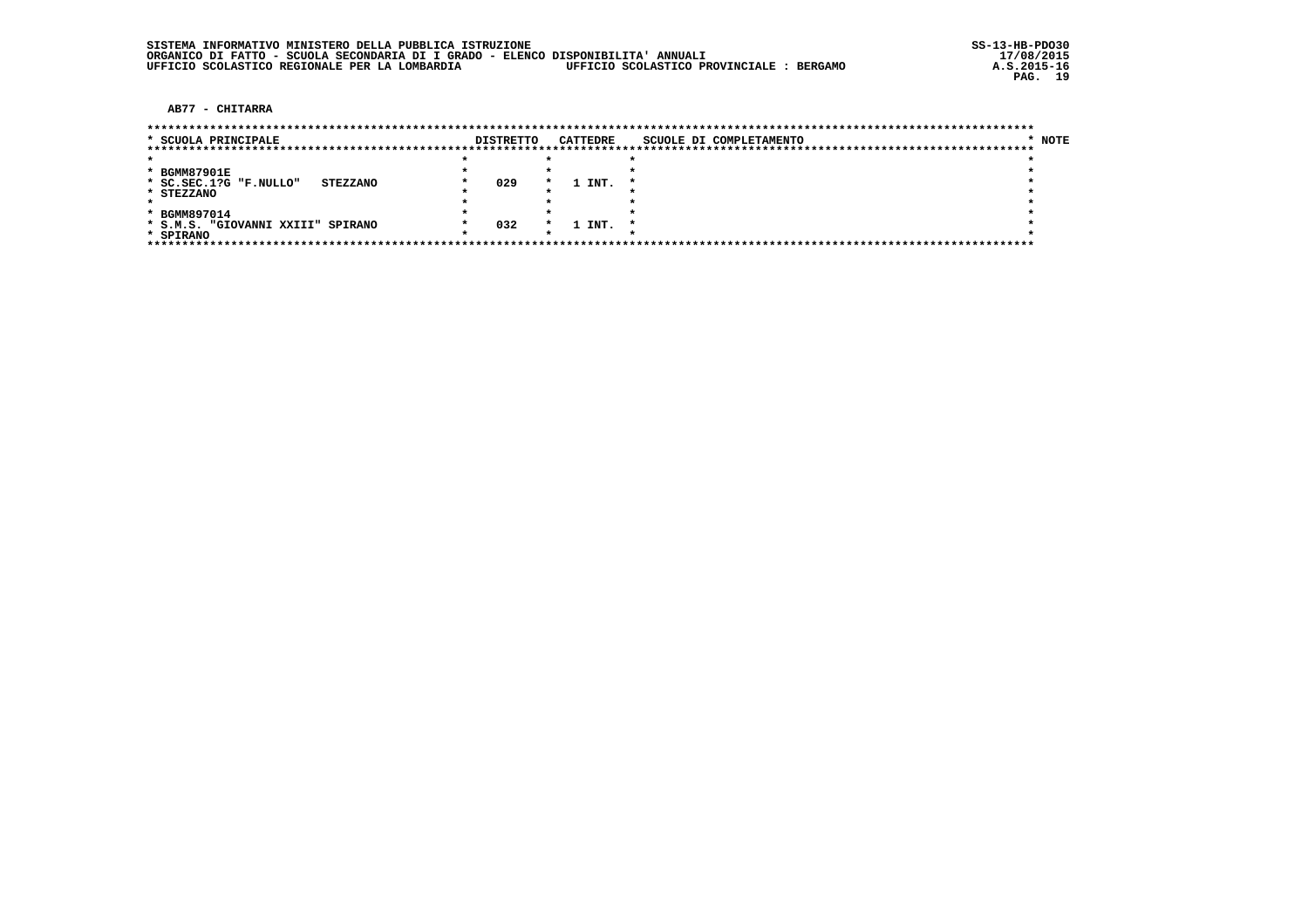AB77 - CHITARRA

| * SCUOLA PRINCIPALE               |                 | <b>DISTRETTO</b> |         | <b>CATTEDRE</b> | SCUOLE DI COMPLETAMENTO | NOTE |
|-----------------------------------|-----------------|------------------|---------|-----------------|-------------------------|------|
|                                   |                 |                  |         |                 |                         |      |
|                                   |                 |                  |         |                 |                         |      |
| * BGMM87901E                      |                 |                  |         |                 |                         |      |
| * SC.SEC.1?G "F.NULLO"            | <b>STEZZANO</b> | 029              | $\star$ | 1 INT.          |                         |      |
| * STEZZANO                        |                 |                  |         |                 |                         |      |
|                                   |                 |                  |         |                 |                         |      |
| * BGMM897014                      |                 |                  |         |                 |                         |      |
| * S.M.S. "GIOVANNI XXIII" SPIRANO |                 | 032              | $\star$ | 1 INT.          |                         |      |
| * SPIRANO                         |                 |                  |         |                 |                         |      |
|                                   |                 |                  |         |                 |                         |      |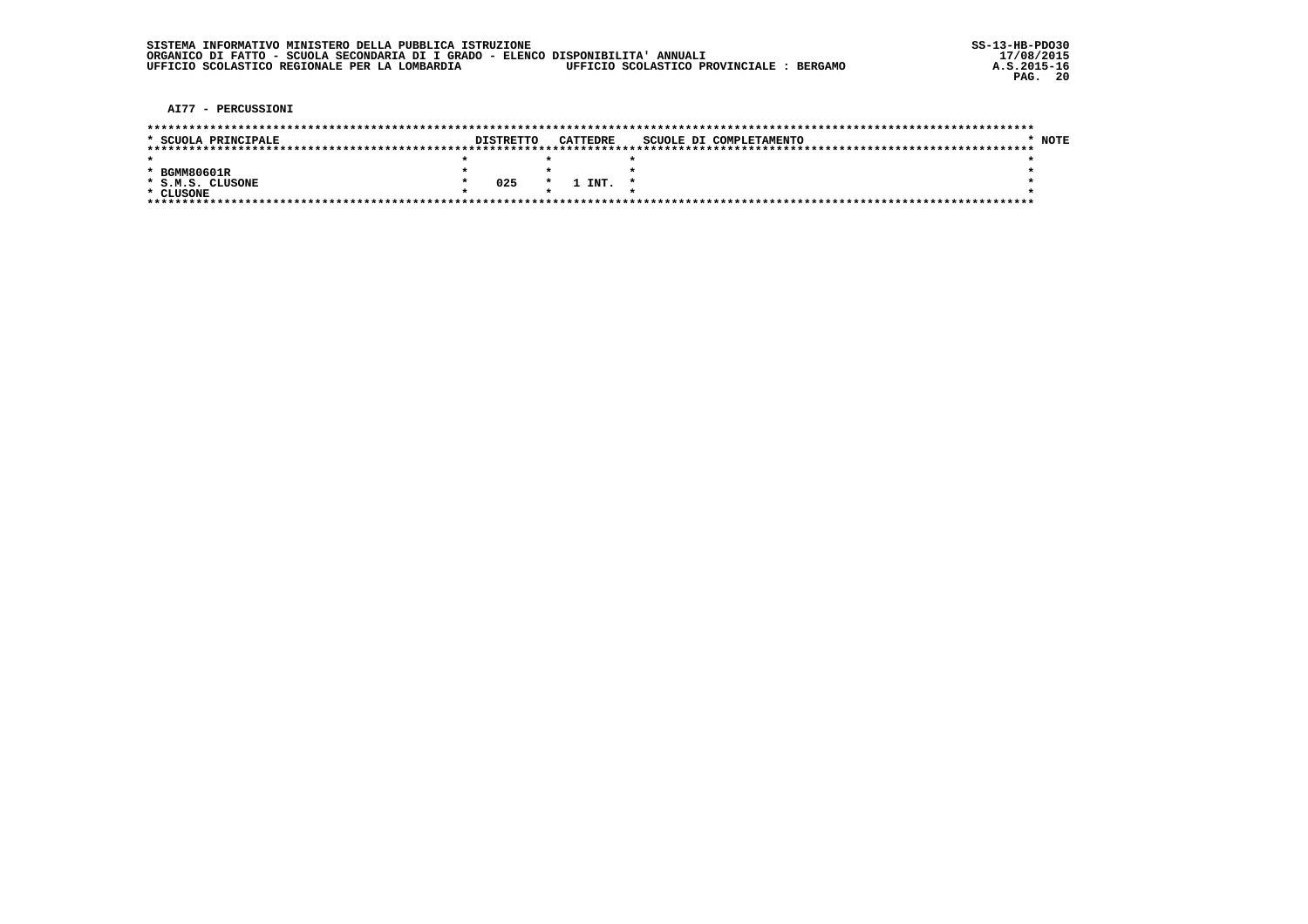|  | SISTEMA INFORMATIVO MINISTERO DELLA PUBBLICA ISTRUZIONE                          |                                          |
|--|----------------------------------------------------------------------------------|------------------------------------------|
|  | ORGANICO DI FATTO - SCUOLA SECONDARIA DI I GRADO - ELENCO DISPONIBILITA' ANNUALI |                                          |
|  | UFFICIO SCOLASTICO REGIONALE PER LA LOMBARDIA                                    | UFFICIO SCOLASTICO PROVINCIALE : BERGAMO |

AI77 - PERCUSSIONI

| * SCUOLA PRINCIPALE | <b>DISTRETTO</b> |         | CATTEDRE | SCUOLE DI COMPLETAMENTO | <b>NOTE</b> |
|---------------------|------------------|---------|----------|-------------------------|-------------|
|                     |                  |         |          |                         |             |
|                     |                  |         |          |                         |             |
| * BGMM80601R        |                  |         |          |                         |             |
| * S.M.S. CLUSONE    | 025              | $\cdot$ | 1 INT.   |                         |             |
| * CLUSONE           |                  |         |          |                         |             |
|                     |                  |         |          |                         |             |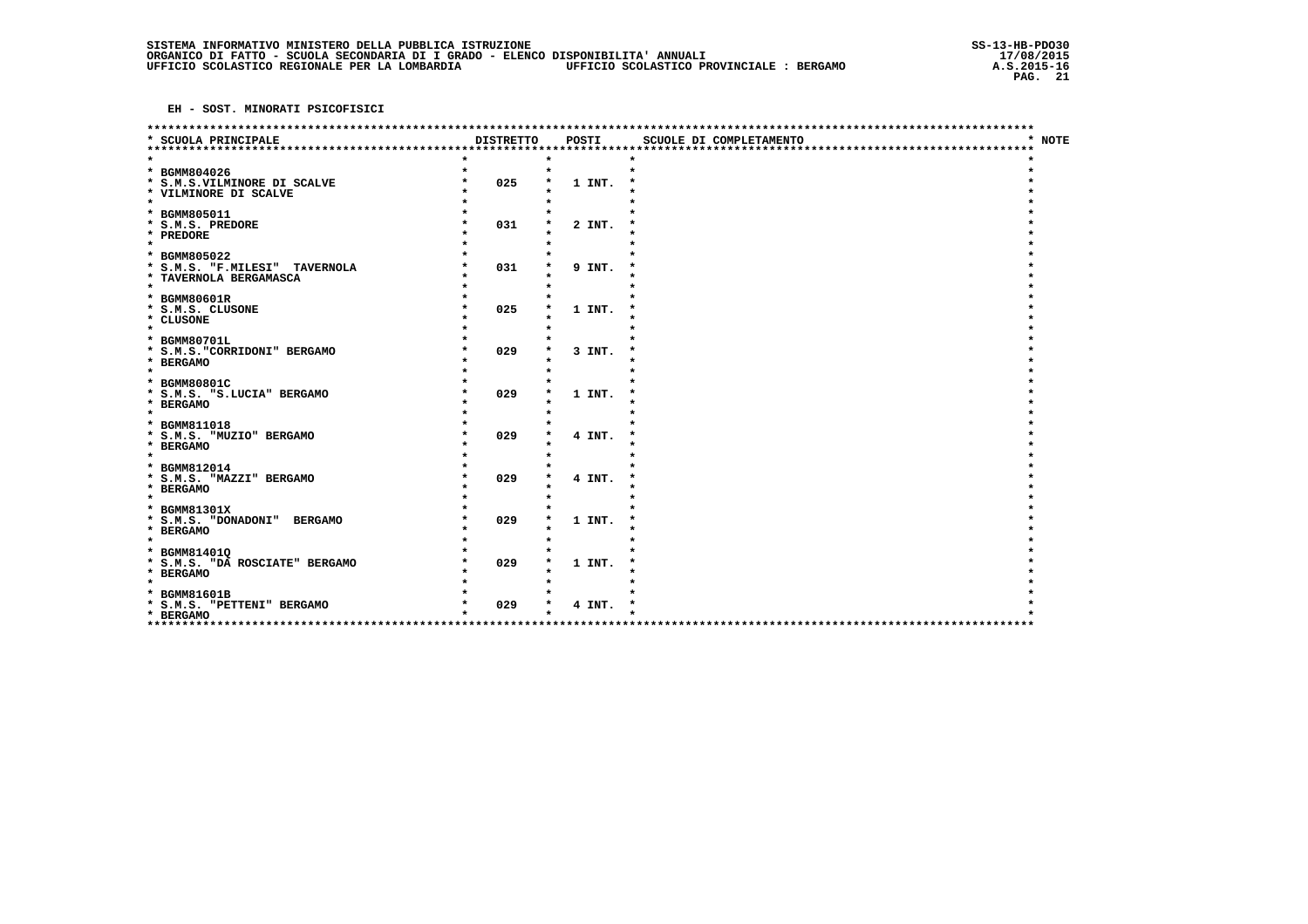|                                |                  |        | *********************** |                        |
|--------------------------------|------------------|--------|-------------------------|------------------------|
| * SCUOLA PRINCIPALE            | <b>DISTRETTO</b> | POSTI  | SCUOLE DI COMPLETAMENTO | <b>NOTE</b><br>$\star$ |
| *********************          |                  |        |                         |                        |
| * BGMM804026                   | $\star$          |        |                         |                        |
| * S.M.S.VILMINORE DI SCALVE    | 025              | 1 INT. |                         |                        |
| * VILMINORE DI SCALVE          |                  |        |                         |                        |
| $\star$                        |                  |        |                         |                        |
| * BGMM805011                   |                  |        |                         |                        |
| * S.M.S. PREDORE               | 031              | 2 INT. |                         |                        |
| * PREDORE<br>$\star$           |                  |        |                         |                        |
| * BGMM805022                   |                  |        |                         |                        |
| * S.M.S. "F.MILESI" TAVERNOLA  | 031              | 9 INT. |                         |                        |
| * TAVERNOLA BERGAMASCA         |                  |        |                         |                        |
| $\star$                        |                  |        |                         |                        |
| * BGMM80601R                   |                  |        |                         |                        |
| * S.M.S. CLUSONE               | 025              | 1 INT. |                         |                        |
| * CLUSONE<br>$\star$           |                  |        |                         |                        |
| * BGMM80701L                   |                  |        |                         |                        |
| * S.M.S. "CORRIDONI" BERGAMO   | 029              | 3 INT. |                         |                        |
| * BERGAMO                      |                  |        |                         |                        |
| $\star$                        |                  |        |                         |                        |
| * BGMM80801C                   |                  |        |                         |                        |
| * S.M.S. "S.LUCIA" BERGAMO     | 029              | 1 INT. |                         |                        |
| * BERGAMO<br>$\star$           |                  |        |                         |                        |
| * BGMM811018                   |                  |        |                         |                        |
| * S.M.S. "MUZIO" BERGAMO       | 029              | 4 INT. |                         |                        |
| * BERGAMO                      |                  |        |                         |                        |
| $\star$                        |                  |        |                         |                        |
| * BGMM812014                   |                  |        |                         |                        |
| * S.M.S. "MAZZI" BERGAMO       | 029              | 4 INT. |                         |                        |
| * BERGAMO<br>$\star$           |                  |        |                         |                        |
| * BGMM81301X                   |                  |        |                         |                        |
| * S.M.S. "DONADONI" BERGAMO    | 029              | 1 INT. |                         |                        |
| * BERGAMO                      |                  |        |                         |                        |
| $\star$                        |                  |        |                         |                        |
| * BGMM814010                   |                  |        |                         |                        |
| * S.M.S. "DA ROSCIATE" BERGAMO | 029              | 1 INT. |                         |                        |
| * BERGAMO<br>$\bullet$         |                  |        |                         |                        |
| * BGMM81601B                   |                  |        |                         |                        |
| * S.M.S. "PETTENI" BERGAMO     | 029              | 4 INT. |                         |                        |
| * BERGAMO                      |                  |        |                         |                        |
| ***********                    |                  |        |                         |                        |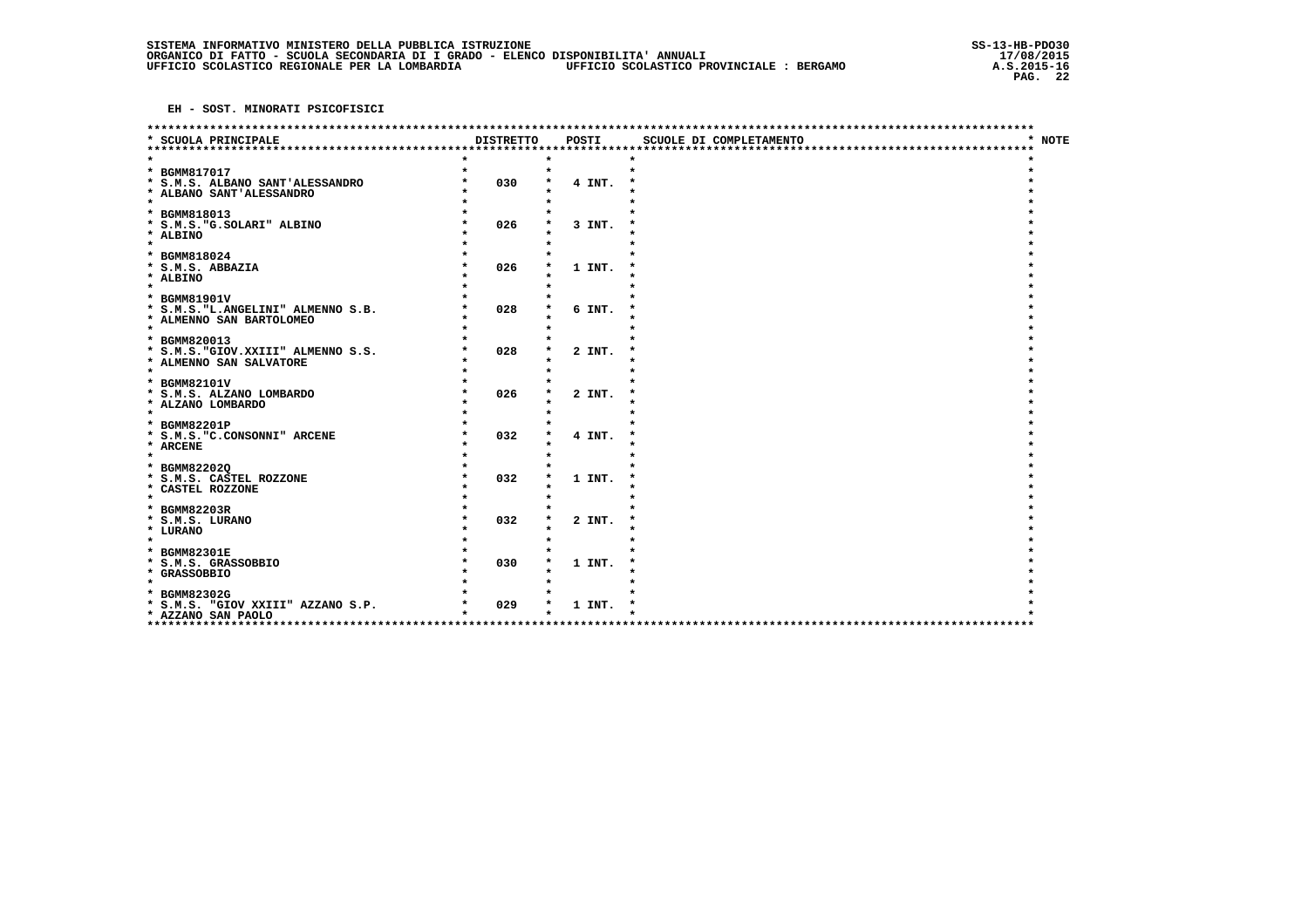| <b>DISTRETTO</b><br><b>NOTE</b><br>* SCUOLA PRINCIPALE<br>POSTI<br>SCUOLE DI COMPLETAMENTO<br>$\star$<br>****************************<br>$\star$<br>* BGMM817017<br>030<br>* S.M.S. ALBANO SANT'ALESSANDRO<br>4 INT.<br>* ALBANO SANT'ALESSANDRO<br>$\star$<br>* BGMM818013<br>026<br>* S.M.S. "G. SOLARI" ALBINO<br>3 INT.<br>* ALBINO<br>$\star$<br>* BGMM818024<br>* S.M.S. ABBAZIA<br>026<br>1 INT.<br>* ALBINO<br>$\star$<br>* BGMM81901V<br>028<br>* S.M.S. "L.ANGELINI" ALMENNO S.B.<br>6 INT.<br>* ALMENNO SAN BARTOLOMEO<br>$\star$<br>* BGMM820013<br>028<br>* S.M.S. "GIOV. XXIII" ALMENNO S.S.<br>2 INT.<br>* ALMENNO SAN SALVATORE<br>$\star$<br>* BGMM82101V<br>026<br>* S.M.S. ALZANO LOMBARDO<br>2 INT.<br>* ALZANO LOMBARDO<br>$\star$<br>* BGMM82201P<br>* S.M.S. "C.CONSONNI" ARCENE<br>032<br>4 INT.<br>* ARCENE<br>$\star$<br>* BGMM822020<br>* S.M.S. CASTEL ROZZONE<br>032<br>1 INT.<br>* CASTEL ROZZONE<br>$\star$<br>* BGMM82203R<br>032<br>* S.M.S. LURANO<br>2 INT.<br>* LURANO<br>$\star$<br>* BGMM82301E<br>030<br>* S.M.S. GRASSOBBIO<br>1 INT.<br>* GRASSOBBIO<br>$\star$<br>* BGMM82302G<br>029<br>* S.M.S. "GIOV XXIII" AZZANO S.P.<br>1 INT.<br>* AZZANO SAN PAOLO<br>******************* |  |  | ************************** |  |
|-----------------------------------------------------------------------------------------------------------------------------------------------------------------------------------------------------------------------------------------------------------------------------------------------------------------------------------------------------------------------------------------------------------------------------------------------------------------------------------------------------------------------------------------------------------------------------------------------------------------------------------------------------------------------------------------------------------------------------------------------------------------------------------------------------------------------------------------------------------------------------------------------------------------------------------------------------------------------------------------------------------------------------------------------------------------------------------------------------------------------------------------------------------------------------------------------------------------------------|--|--|----------------------------|--|
|                                                                                                                                                                                                                                                                                                                                                                                                                                                                                                                                                                                                                                                                                                                                                                                                                                                                                                                                                                                                                                                                                                                                                                                                                             |  |  |                            |  |
|                                                                                                                                                                                                                                                                                                                                                                                                                                                                                                                                                                                                                                                                                                                                                                                                                                                                                                                                                                                                                                                                                                                                                                                                                             |  |  |                            |  |
|                                                                                                                                                                                                                                                                                                                                                                                                                                                                                                                                                                                                                                                                                                                                                                                                                                                                                                                                                                                                                                                                                                                                                                                                                             |  |  |                            |  |
|                                                                                                                                                                                                                                                                                                                                                                                                                                                                                                                                                                                                                                                                                                                                                                                                                                                                                                                                                                                                                                                                                                                                                                                                                             |  |  |                            |  |
|                                                                                                                                                                                                                                                                                                                                                                                                                                                                                                                                                                                                                                                                                                                                                                                                                                                                                                                                                                                                                                                                                                                                                                                                                             |  |  |                            |  |
|                                                                                                                                                                                                                                                                                                                                                                                                                                                                                                                                                                                                                                                                                                                                                                                                                                                                                                                                                                                                                                                                                                                                                                                                                             |  |  |                            |  |
|                                                                                                                                                                                                                                                                                                                                                                                                                                                                                                                                                                                                                                                                                                                                                                                                                                                                                                                                                                                                                                                                                                                                                                                                                             |  |  |                            |  |
|                                                                                                                                                                                                                                                                                                                                                                                                                                                                                                                                                                                                                                                                                                                                                                                                                                                                                                                                                                                                                                                                                                                                                                                                                             |  |  |                            |  |
|                                                                                                                                                                                                                                                                                                                                                                                                                                                                                                                                                                                                                                                                                                                                                                                                                                                                                                                                                                                                                                                                                                                                                                                                                             |  |  |                            |  |
|                                                                                                                                                                                                                                                                                                                                                                                                                                                                                                                                                                                                                                                                                                                                                                                                                                                                                                                                                                                                                                                                                                                                                                                                                             |  |  |                            |  |
|                                                                                                                                                                                                                                                                                                                                                                                                                                                                                                                                                                                                                                                                                                                                                                                                                                                                                                                                                                                                                                                                                                                                                                                                                             |  |  |                            |  |
|                                                                                                                                                                                                                                                                                                                                                                                                                                                                                                                                                                                                                                                                                                                                                                                                                                                                                                                                                                                                                                                                                                                                                                                                                             |  |  |                            |  |
|                                                                                                                                                                                                                                                                                                                                                                                                                                                                                                                                                                                                                                                                                                                                                                                                                                                                                                                                                                                                                                                                                                                                                                                                                             |  |  |                            |  |
|                                                                                                                                                                                                                                                                                                                                                                                                                                                                                                                                                                                                                                                                                                                                                                                                                                                                                                                                                                                                                                                                                                                                                                                                                             |  |  |                            |  |
|                                                                                                                                                                                                                                                                                                                                                                                                                                                                                                                                                                                                                                                                                                                                                                                                                                                                                                                                                                                                                                                                                                                                                                                                                             |  |  |                            |  |
|                                                                                                                                                                                                                                                                                                                                                                                                                                                                                                                                                                                                                                                                                                                                                                                                                                                                                                                                                                                                                                                                                                                                                                                                                             |  |  |                            |  |
|                                                                                                                                                                                                                                                                                                                                                                                                                                                                                                                                                                                                                                                                                                                                                                                                                                                                                                                                                                                                                                                                                                                                                                                                                             |  |  |                            |  |
|                                                                                                                                                                                                                                                                                                                                                                                                                                                                                                                                                                                                                                                                                                                                                                                                                                                                                                                                                                                                                                                                                                                                                                                                                             |  |  |                            |  |
|                                                                                                                                                                                                                                                                                                                                                                                                                                                                                                                                                                                                                                                                                                                                                                                                                                                                                                                                                                                                                                                                                                                                                                                                                             |  |  |                            |  |
|                                                                                                                                                                                                                                                                                                                                                                                                                                                                                                                                                                                                                                                                                                                                                                                                                                                                                                                                                                                                                                                                                                                                                                                                                             |  |  |                            |  |
|                                                                                                                                                                                                                                                                                                                                                                                                                                                                                                                                                                                                                                                                                                                                                                                                                                                                                                                                                                                                                                                                                                                                                                                                                             |  |  |                            |  |
|                                                                                                                                                                                                                                                                                                                                                                                                                                                                                                                                                                                                                                                                                                                                                                                                                                                                                                                                                                                                                                                                                                                                                                                                                             |  |  |                            |  |
|                                                                                                                                                                                                                                                                                                                                                                                                                                                                                                                                                                                                                                                                                                                                                                                                                                                                                                                                                                                                                                                                                                                                                                                                                             |  |  |                            |  |
|                                                                                                                                                                                                                                                                                                                                                                                                                                                                                                                                                                                                                                                                                                                                                                                                                                                                                                                                                                                                                                                                                                                                                                                                                             |  |  |                            |  |
|                                                                                                                                                                                                                                                                                                                                                                                                                                                                                                                                                                                                                                                                                                                                                                                                                                                                                                                                                                                                                                                                                                                                                                                                                             |  |  |                            |  |
|                                                                                                                                                                                                                                                                                                                                                                                                                                                                                                                                                                                                                                                                                                                                                                                                                                                                                                                                                                                                                                                                                                                                                                                                                             |  |  |                            |  |
|                                                                                                                                                                                                                                                                                                                                                                                                                                                                                                                                                                                                                                                                                                                                                                                                                                                                                                                                                                                                                                                                                                                                                                                                                             |  |  |                            |  |
|                                                                                                                                                                                                                                                                                                                                                                                                                                                                                                                                                                                                                                                                                                                                                                                                                                                                                                                                                                                                                                                                                                                                                                                                                             |  |  |                            |  |
|                                                                                                                                                                                                                                                                                                                                                                                                                                                                                                                                                                                                                                                                                                                                                                                                                                                                                                                                                                                                                                                                                                                                                                                                                             |  |  |                            |  |
|                                                                                                                                                                                                                                                                                                                                                                                                                                                                                                                                                                                                                                                                                                                                                                                                                                                                                                                                                                                                                                                                                                                                                                                                                             |  |  |                            |  |
|                                                                                                                                                                                                                                                                                                                                                                                                                                                                                                                                                                                                                                                                                                                                                                                                                                                                                                                                                                                                                                                                                                                                                                                                                             |  |  |                            |  |
|                                                                                                                                                                                                                                                                                                                                                                                                                                                                                                                                                                                                                                                                                                                                                                                                                                                                                                                                                                                                                                                                                                                                                                                                                             |  |  |                            |  |
|                                                                                                                                                                                                                                                                                                                                                                                                                                                                                                                                                                                                                                                                                                                                                                                                                                                                                                                                                                                                                                                                                                                                                                                                                             |  |  |                            |  |
|                                                                                                                                                                                                                                                                                                                                                                                                                                                                                                                                                                                                                                                                                                                                                                                                                                                                                                                                                                                                                                                                                                                                                                                                                             |  |  |                            |  |
|                                                                                                                                                                                                                                                                                                                                                                                                                                                                                                                                                                                                                                                                                                                                                                                                                                                                                                                                                                                                                                                                                                                                                                                                                             |  |  |                            |  |
|                                                                                                                                                                                                                                                                                                                                                                                                                                                                                                                                                                                                                                                                                                                                                                                                                                                                                                                                                                                                                                                                                                                                                                                                                             |  |  |                            |  |
|                                                                                                                                                                                                                                                                                                                                                                                                                                                                                                                                                                                                                                                                                                                                                                                                                                                                                                                                                                                                                                                                                                                                                                                                                             |  |  |                            |  |
|                                                                                                                                                                                                                                                                                                                                                                                                                                                                                                                                                                                                                                                                                                                                                                                                                                                                                                                                                                                                                                                                                                                                                                                                                             |  |  |                            |  |
|                                                                                                                                                                                                                                                                                                                                                                                                                                                                                                                                                                                                                                                                                                                                                                                                                                                                                                                                                                                                                                                                                                                                                                                                                             |  |  |                            |  |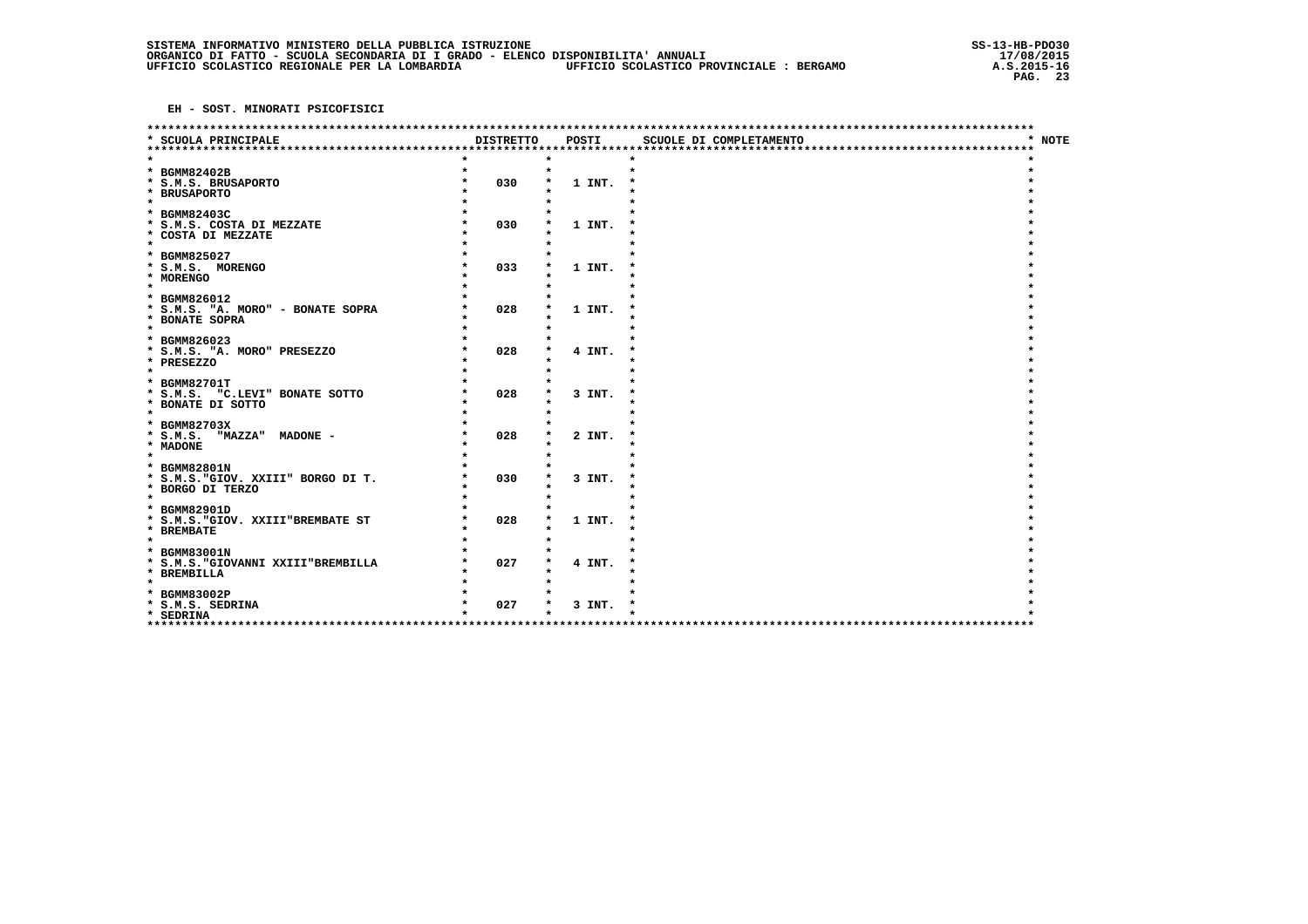|                                                                                       |                  |        | *********************** |        |
|---------------------------------------------------------------------------------------|------------------|--------|-------------------------|--------|
| * SCUOLA PRINCIPALE<br>*************************                                      | <b>DISTRETTO</b> | POSTI  | SCUOLE DI COMPLETAMENTO | * NOTE |
| * BGMM82402B<br>* S.M.S. BRUSAPORTO<br>* BRUSAPORTO                                   | 030              | 1 INT. | $\bullet$               |        |
| $\star$<br>* BGMM82403C<br>* S.M.S. COSTA DI MEZZATE<br>* COSTA DI MEZZATE<br>$\star$ | 030              | 1 INT. |                         |        |
| * BGMM825027<br>* S.M.S. MORENGO<br>* MORENGO<br>$\bullet$                            | 033              | 1 INT. |                         |        |
| * BGMM826012<br>* S.M.S. "A. MORO" - BONATE SOPRA<br>* BONATE SOPRA<br>$\star$        | 028              | 1 INT. |                         |        |
| * BGMM826023<br>* S.M.S. "A. MORO" PRESEZZO<br>* PRESEZZO<br>$\star$                  | 028              | 4 INT. |                         |        |
| * BGMM82701T<br>* S.M.S. "C.LEVI" BONATE SOTTO<br>* BONATE DI SOTTO<br>$\star$        | 028              | 3 INT. |                         |        |
| * BGMM82703X<br>$*$ S.M.S.<br>"MAZZA" MADONE -<br>* MADONE<br>$\star$                 | 028              | 2 INT. |                         |        |
| * BGMM82801N<br>* S.M.S. "GIOV. XXIII" BORGO DI T.<br>* BORGO DI TERZO<br>$\star$     | 030              | 3 INT. |                         |        |
| * BGMM82901D<br>* S.M.S. "GIOV. XXIII"BREMBATE ST<br>* BREMBATE<br>$\star$            | 028              | 1 INT. |                         |        |
| * BGMM83001N<br>* S.M.S. "GIOVANNI XXIII"BREMBILLA<br>* BREMBILLA<br>$\star$          | 027              | 4 INT. |                         |        |
| * BGMM83002P<br>* S.M.S. SEDRINA<br>* SEDRINA<br>************                         | 027              | 3 INT. |                         |        |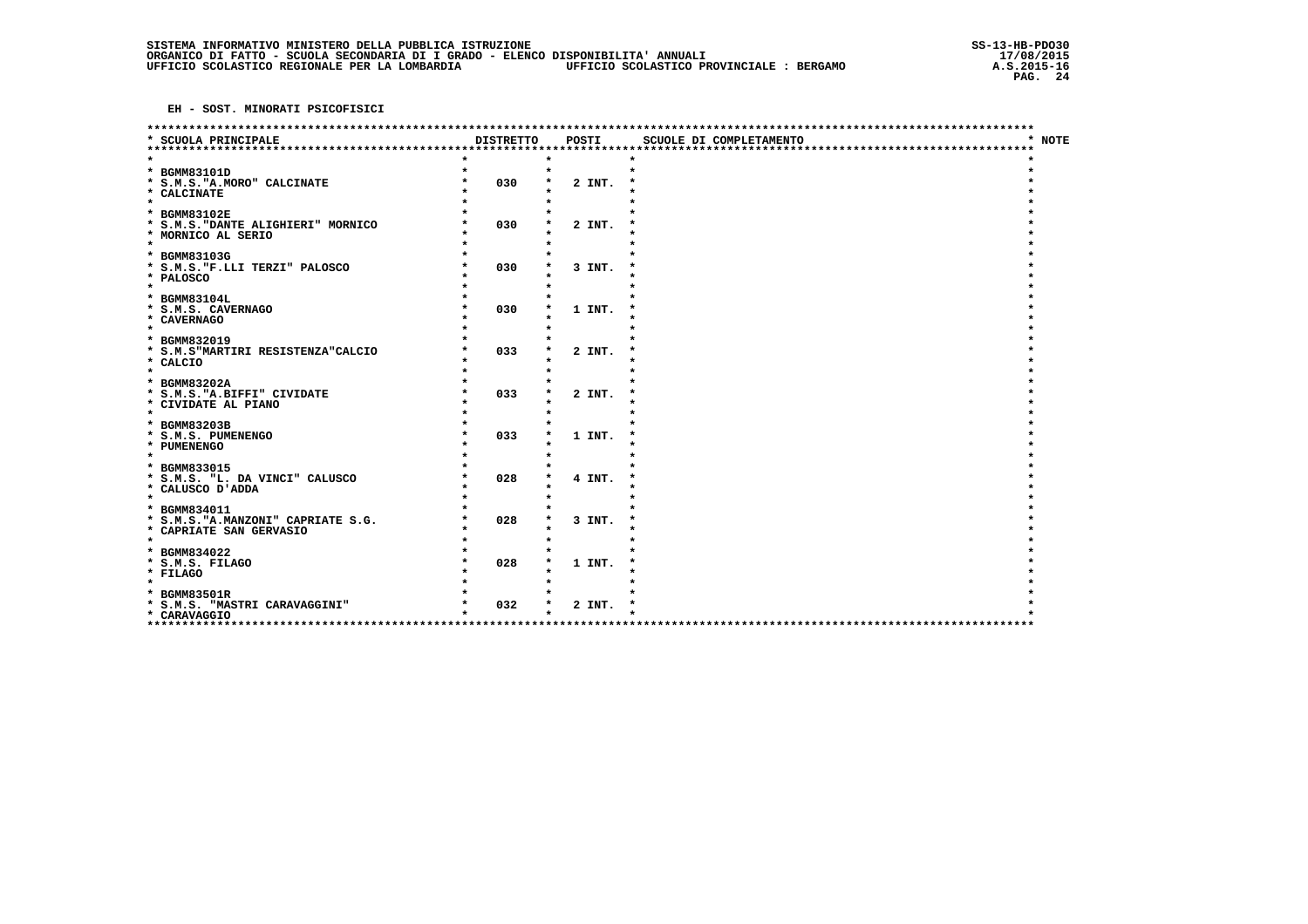|                                                                                                  |                  |        | **********************  |                        |
|--------------------------------------------------------------------------------------------------|------------------|--------|-------------------------|------------------------|
| * SCUOLA PRINCIPALE<br>**************************                                                | <b>DISTRETTO</b> | POSTI  | SCUOLE DI COMPLETAMENTO | <b>NOTE</b><br>$\star$ |
| * BGMM83101D<br>* S.M.S. "A.MORO" CALCINATE<br>* CALCINATE                                       | $\star$<br>030   | 2 INT. |                         |                        |
| $\star$<br>* BGMM83102E<br>* S.M.S. "DANTE ALIGHIERI" MORNICO<br>* MORNICO AL SERIO<br>$\bullet$ | 030              | 2 INT. |                         |                        |
| * BGMM83103G<br>* S.M.S. "F.LLI TERZI" PALOSCO<br>* PALOSCO<br>$\star$                           | 030              | 3 INT. |                         |                        |
| * BGMM83104L<br>* S.M.S. CAVERNAGO<br>* CAVERNAGO<br>$\star$                                     | 030              | 1 INT. |                         |                        |
| * BGMM832019<br>* S.M.S"MARTIRI RESISTENZA"CALCIO<br>* CALCIO<br>$\star$                         | 033              | 2 INT. |                         |                        |
| * BGMM83202A<br>* S.M.S. "A. BIFFI" CIVIDATE<br>* CIVIDATE AL PIANO<br>$\star$                   | 033              | 2 INT. |                         |                        |
| * BGMM83203B<br>* S.M.S. PUMENENGO<br>* PUMENENGO<br>$\star$                                     | 033              | 1 INT. |                         |                        |
| * BGMM833015<br>* S.M.S. "L. DA VINCI" CALUSCO<br>* CALUSCO D'ADDA<br>$\star$                    | 028              | 4 INT. |                         |                        |
| * BGMM834011<br>* S.M.S. "A.MANZONI" CAPRIATE S.G.<br>* CAPRIATE SAN GERVASIO<br>$\star$         | 028              | 3 INT. |                         |                        |
| * BGMM834022<br>* S.M.S. FILAGO<br>* FILAGO<br>$\star$                                           | 028              | 1 INT. |                         |                        |
| * BGMM83501R<br>* S.M.S. "MASTRI CARAVAGGINI"<br>* CARAVAGGIO<br>**************                  | 032              | 2 INT. |                         |                        |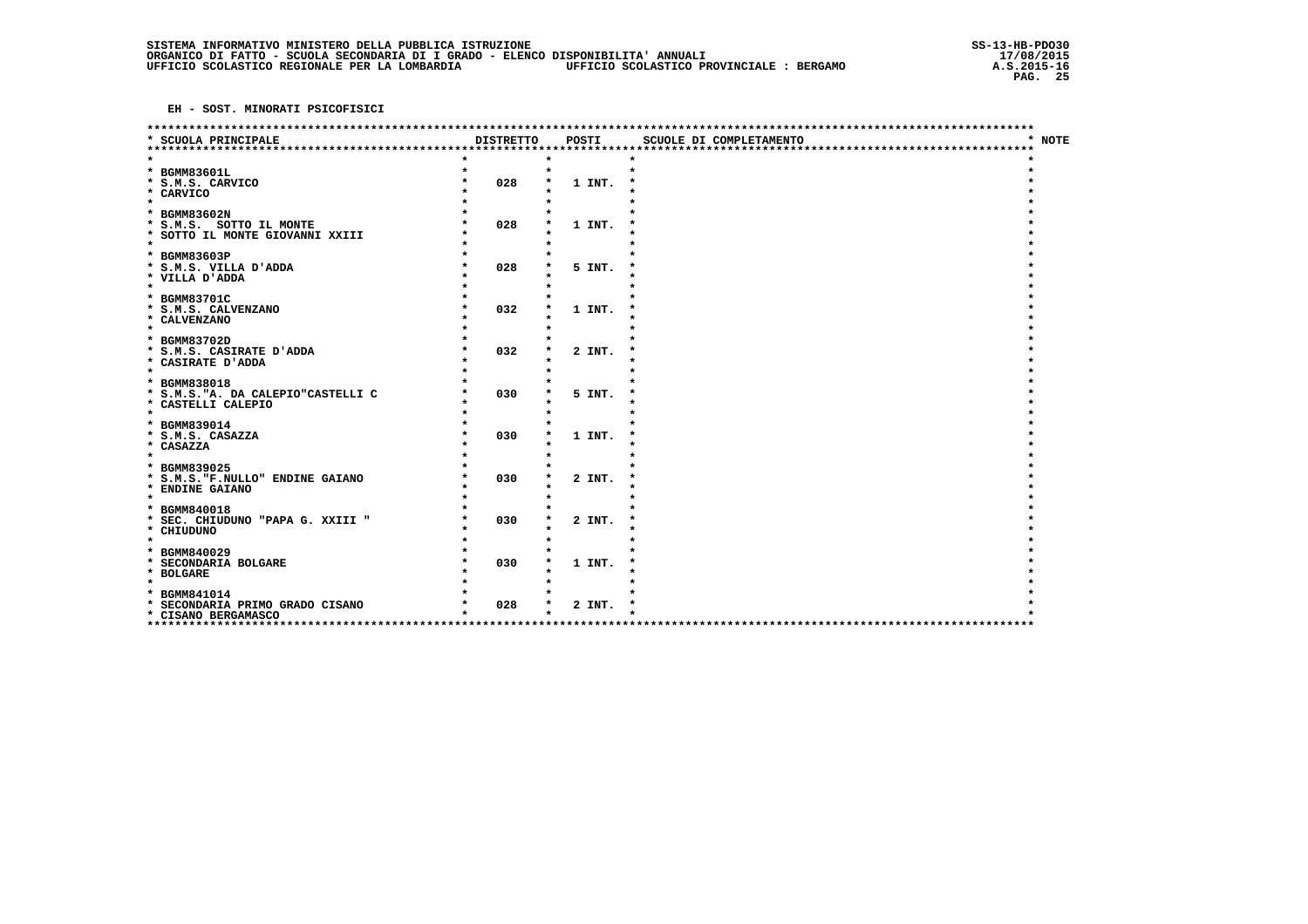| ******************************                                                                       |                  |        | ************************ |                        |
|------------------------------------------------------------------------------------------------------|------------------|--------|--------------------------|------------------------|
| * SCUOLA PRINCIPALE<br>****************************                                                  | <b>DISTRETTO</b> | POSTI  | SCUOLE DI COMPLETAMENTO  | $\star$<br><b>NOTE</b> |
| * BGMM83601L<br>* S.M.S. CARVICO<br>* CARVICO<br>$\star$                                             | $\star$<br>028   | 1 INT. |                          |                        |
| * BGMM83602N<br>* S.M.S. SOTTO IL MONTE<br>* SOTTO IL MONTE GIOVANNI XXIII<br>$\bullet$              | 028              | 1 INT. |                          |                        |
| * BGMM83603P<br>* S.M.S. VILLA D'ADDA<br>* VILLA D'ADDA<br>$\star$                                   | 028              | 5 INT. |                          |                        |
| * BGMM83701C<br>* S.M.S. CALVENZANO<br>* CALVENZANO<br>$\star$                                       | 032              | 1 INT. |                          |                        |
| * BGMM83702D<br>* S.M.S. CASIRATE D'ADDA<br>* CASIRATE D'ADDA<br>$\star$                             | 032              | 2 INT. |                          |                        |
| * BGMM838018<br>* S.M.S. "A. DA CALEPIO"CASTELLI C<br>* CASTELLI CALEPIO<br>$\star$                  | 030              | 5 INT. |                          |                        |
| * BGMM839014<br>* S.M.S. CASAZZA<br>* CASAZZA<br>$\star$                                             | 030              | 1 INT. |                          |                        |
| * BGMM839025<br>* S.M.S. "F.NULLO" ENDINE GAIANO<br>* ENDINE GAIANO                                  | 030              | 2 INT. |                          |                        |
| $\star$<br>* BGMM840018<br>* SEC. CHIUDUNO "PAPA G. XXIII "<br>* CHIUDUNO<br>$\star$                 | 030              | 2 INT. |                          |                        |
| * BGMM840029<br>* SECONDARIA BOLGARE<br>* BOLGARE                                                    | 030              | 1 INT. |                          |                        |
| $\star$<br>BGMM841014<br>$\star$<br>* SECONDARIA PRIMO GRADO CISANO<br>* CISANO BERGAMASCO<br>****** | 028              | 2 INT. |                          |                        |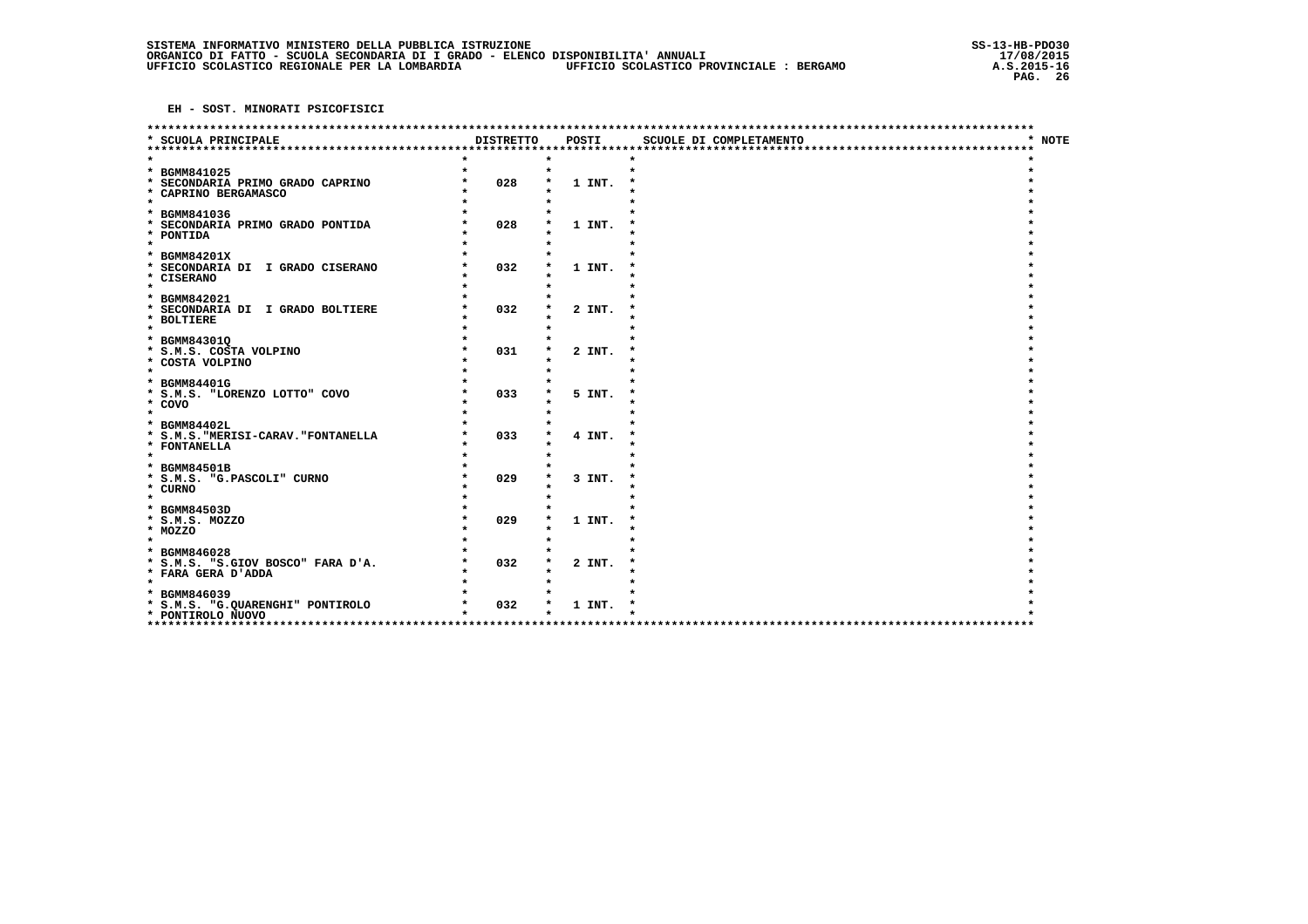|                                                |                  |        | **********************  |        |
|------------------------------------------------|------------------|--------|-------------------------|--------|
| * SCUOLA PRINCIPALE<br>*********************   | <b>DISTRETTO</b> | POSTI  | SCUOLE DI COMPLETAMENTO | * NOTE |
|                                                |                  |        |                         |        |
| * BGMM841025                                   |                  |        | $\bullet$               |        |
| SECONDARIA PRIMO GRADO CAPRINO<br>$\star$      | 028              | 1 INT. |                         |        |
| * CAPRINO BERGAMASCO<br>$\star$                |                  |        |                         |        |
| * BGMM841036                                   |                  |        |                         |        |
| * SECONDARIA PRIMO GRADO PONTIDA               | 028              | 1 INT. |                         |        |
| * PONTIDA                                      |                  |        |                         |        |
| $\star$                                        |                  |        |                         |        |
| <b>BGMM84201X</b><br>*                         |                  |        |                         |        |
| * SECONDARIA DI I GRADO CISERANO<br>* CISERANO | 032              | 1 INT. |                         |        |
| $\star$                                        |                  |        |                         |        |
| * BGMM842021                                   |                  |        |                         |        |
| * SECONDARIA DI I GRADO BOLTIERE               | 032              | 2 INT. |                         |        |
| * BOLTIERE<br>$\star$                          |                  |        |                         |        |
| * BGMM84301Q                                   |                  |        |                         |        |
| * S.M.S. COSTA VOLPINO                         | 031              | 2 INT. |                         |        |
| * COSTA VOLPINO                                |                  |        |                         |        |
| $\star$                                        |                  |        |                         |        |
| * BGMM84401G<br>* S.M.S. "LORENZO LOTTO" COVO  | 033              | 5 INT. |                         |        |
| * COVO                                         |                  |        |                         |        |
| $\star$                                        |                  |        |                         |        |
| * BGMM84402L                                   |                  |        |                         |        |
| * S.M.S. "MERISI-CARAV. "FONTANELLA            | 033              | 4 INT. |                         |        |
| * FONTANELLA<br>$\star$                        |                  |        |                         |        |
| * BGMM84501B                                   |                  |        |                         |        |
| * S.M.S. "G.PASCOLI" CURNO                     | 029              | 3 INT. |                         |        |
| * CURNO                                        |                  |        |                         |        |
| $\star$                                        |                  |        |                         |        |
| * BGMM84503D<br>* S.M.S. MOZZO                 | 029              | 1 INT. |                         |        |
| * MOZZO                                        |                  |        |                         |        |
| $\star$                                        |                  |        |                         |        |
| * BGMM846028                                   |                  |        |                         |        |
| * S.M.S. "S.GIOV BOSCO" FARA D'A.              | 032              | 2 INT. |                         |        |
| * FARA GERA D'ADDA<br>$\star$                  |                  |        |                         |        |
| * BGMM846039                                   |                  |        |                         |        |
| * S.M.S. "G.QUARENGHI" PONTIROLO               | 032              | 1 INT. |                         |        |
| * PONTIROLO NUOVO                              |                  |        |                         |        |
| *****************                              |                  |        |                         |        |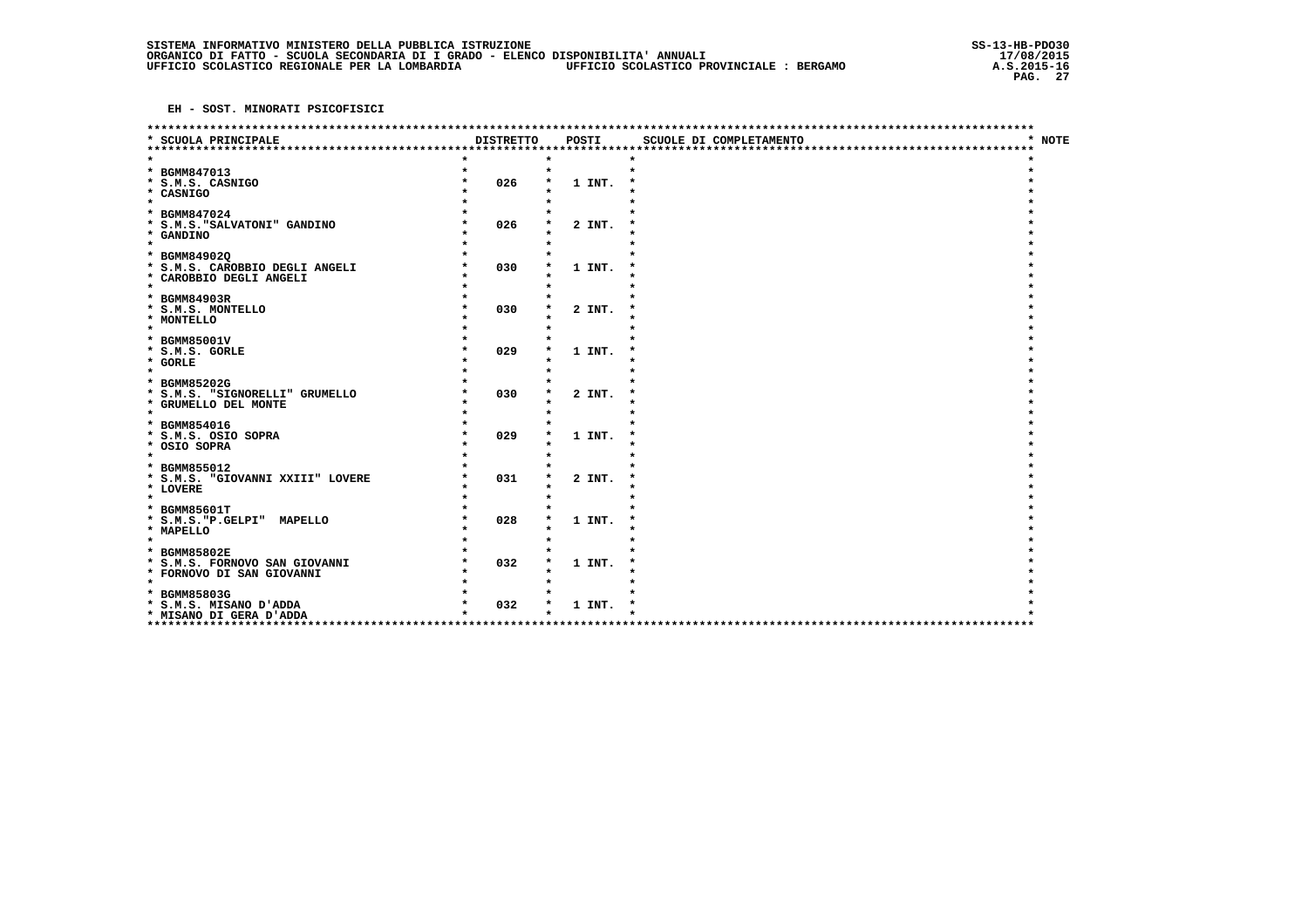|                                                                                       |                  |                   | ************************ |        |
|---------------------------------------------------------------------------------------|------------------|-------------------|--------------------------|--------|
| * SCUOLA PRINCIPALE                                                                   | <b>DISTRETTO</b> | POSTI             | SCUOLE DI COMPLETAMENTO  | * NOTE |
| * BGMM847013<br>* S.M.S. CASNIGO<br>* CASNIGO                                         | 026              | $\star$<br>1 INT. |                          |        |
| $\star$<br>* BGMM847024<br>* S.M.S. "SALVATONI" GANDINO<br>* GANDINO<br>$\star$       | 026              | 2 INT.            |                          |        |
| * BGMM849020<br>* S.M.S. CAROBBIO DEGLI ANGELI<br>* CAROBBIO DEGLI ANGELI<br>$\star$  | 030              | 1 INT.            |                          |        |
| * BGMM84903R<br>* S.M.S. MONTELLO<br>* MONTELLO<br>$\star$                            | 030              | 2 INT.            |                          |        |
| * BGMM85001V<br>* S.M.S. GORLE<br>* GORLE<br>$\star$                                  | 029              | 1 INT.            |                          |        |
| * BGMM85202G<br>* S.M.S. "SIGNORELLI" GRUMELLO<br>* GRUMELLO DEL MONTE<br>$\star$     | 030              | 2 INT.            |                          |        |
| * BGMM854016<br>* S.M.S. OSIO SOPRA<br>* OSIO SOPRA<br>$\star$                        | 029              | 1 INT.            |                          |        |
| * BGMM855012<br>* S.M.S. "GIOVANNI XXIII" LOVERE<br>* LOVERE<br>$\star$               | 031              | 2 INT.            |                          |        |
| * BGMM85601T<br>* S.M.S. "P. GELPI" MAPELLO<br>* MAPELLO<br>$\star$                   | 028              | 1 INT.            |                          |        |
| * BGMM85802E<br>* S.M.S. FORNOVO SAN GIOVANNI<br>* FORNOVO DI SAN GIOVANNI<br>$\star$ | 032              | 1 INT.            |                          |        |
| * BGMM85803G<br>* S.M.S. MISANO D'ADDA<br>* MISANO DI GERA D'ADDA                     | 032              | 1 INT.            |                          |        |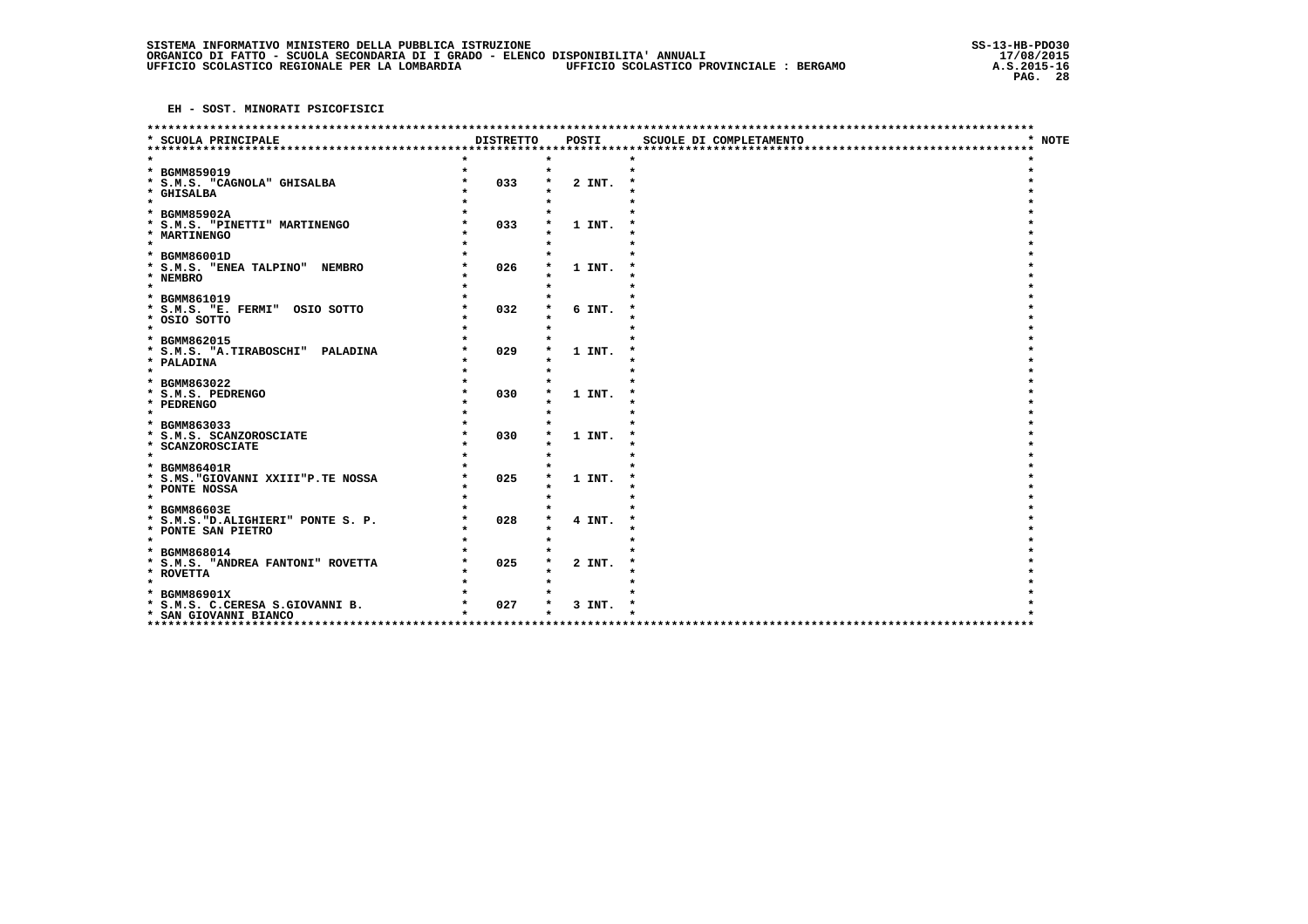|                                                                                               |                  |                     | *********************** |        |
|-----------------------------------------------------------------------------------------------|------------------|---------------------|-------------------------|--------|
| * SCUOLA PRINCIPALE<br>***********************                                                | <b>DISTRETTO</b> | POSTI               | SCUOLE DI COMPLETAMENTO | * NOTE |
| * BGMM859019<br>* S.M.S. "CAGNOLA" GHISALBA<br>* GHISALBA<br>$\star$                          | 033              | $\bullet$<br>2 INT. | $\bullet$               |        |
| * BGMM85902A<br>* S.M.S. "PINETTI" MARTINENGO<br>* MARTINENGO<br>$\star$                      | 033              | 1 INT.              |                         |        |
| * BGMM86001D<br>* S.M.S. "ENEA TALPINO" NEMBRO<br>* NEMBRO<br>$\star$                         | 026              | 1 INT.              |                         |        |
| * BGMM861019<br>* S.M.S. "E. FERMI" OSIO SOTTO<br>* OSIO SOTTO<br>$\star$                     | 032              | 6 INT.              |                         |        |
| * BGMM862015<br>* S.M.S. "A.TIRABOSCHI" PALADINA<br>* PALADINA<br>$\star$                     | 029              | 1 INT.              |                         |        |
| * BGMM863022<br>* S.M.S. PEDRENGO<br>* PEDRENGO<br>$\star$                                    | 030              | 1 INT.              |                         |        |
| * BGMM863033<br>* S.M.S. SCANZOROSCIATE<br>* SCANZOROSCIATE<br>$\star$                        | 030              | 1 INT.              |                         |        |
| * BGMM86401R<br>* S.MS. "GIOVANNI XXIII"P.TE NOSSA<br>* PONTE NOSSA<br>$\star$                | 025              | 1 INT.              |                         |        |
| * BGMM86603E<br>* S.M.S. "D.ALIGHIERI" PONTE S. P.<br>* PONTE SAN PIETRO<br>$\star$           | 028              | 4 INT.              |                         |        |
| * BGMM868014<br>* S.M.S. "ANDREA FANTONI" ROVETTA<br>* ROVETTA                                | 025              | 2 INT.              |                         |        |
| $\star$<br>* BGMM86901X<br>* S.M.S. C.CERESA S.GIOVANNI B.<br>* SAN GIOVANNI BIANCO<br>****** | 027              | 3 INT.              |                         |        |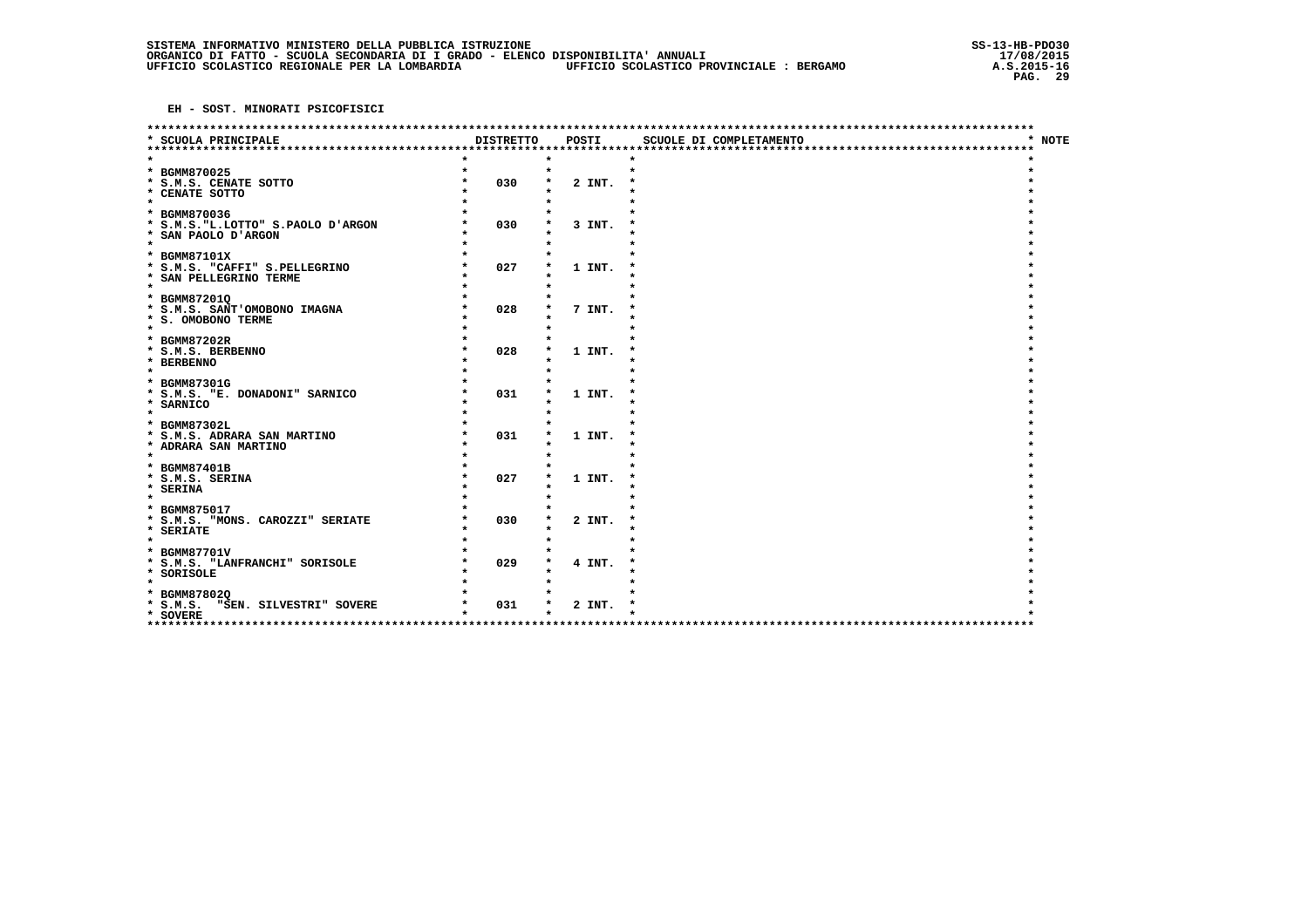|                                                 |                  |         | *********************** |        |
|-------------------------------------------------|------------------|---------|-------------------------|--------|
| * SCUOLA PRINCIPALE<br>************************ | <b>DISTRETTO</b> | POSTI   | SCUOLE DI COMPLETAMENTO | * NOTE |
|                                                 |                  |         |                         |        |
| * BGMM870025                                    |                  | $\star$ | $\star$                 |        |
| * S.M.S. CENATE SOTTO                           | 030              | 2 INT.  |                         |        |
| * CENATE SOTTO                                  |                  |         |                         |        |
| $\star$                                         |                  |         |                         |        |
| * BGMM870036                                    |                  |         |                         |        |
| * S.M.S. "L.LOTTO" S.PAOLO D'ARGON              | 030              | 3 INT.  |                         |        |
| * SAN PAOLO D'ARGON<br>$\star$                  |                  |         |                         |        |
| * BGMM87101X                                    |                  |         |                         |        |
| * S.M.S. "CAFFI" S.PELLEGRINO                   | 027              | 1 INT.  |                         |        |
| * SAN PELLEGRINO TERME                          |                  |         |                         |        |
| $\star$                                         |                  |         |                         |        |
| * BGMM872010                                    |                  |         |                         |        |
| * S.M.S. SANT'OMOBONO IMAGNA                    | 028              | 7 INT.  |                         |        |
| * S. OMOBONO TERME                              |                  |         |                         |        |
| $\bullet$                                       |                  |         |                         |        |
| * BGMM87202R                                    |                  |         |                         |        |
| * S.M.S. BERBENNO                               | 028              | 1 INT.  |                         |        |
| * BERBENNO<br>$\star$                           |                  |         |                         |        |
| * BGMM87301G                                    |                  |         |                         |        |
| * S.M.S. "E. DONADONI" SARNICO                  | 031              | 1 INT.  |                         |        |
| * SARNICO                                       |                  |         |                         |        |
| $\star$                                         |                  |         |                         |        |
| * BGMM87302L                                    |                  |         |                         |        |
| * S.M.S. ADRARA SAN MARTINO                     | 031              | 1 INT.  |                         |        |
| * ADRARA SAN MARTINO                            |                  |         |                         |        |
| $\star$                                         |                  |         |                         |        |
| * BGMM87401B<br>* S.M.S. SERINA                 | 027              | 1 INT.  |                         |        |
| * SERINA                                        |                  |         |                         |        |
| $\star$                                         |                  |         |                         |        |
| * BGMM875017                                    |                  |         |                         |        |
| * S.M.S. "MONS. CAROZZI" SERIATE                | 030              | 2 INT.  |                         |        |
| * SERIATE                                       |                  |         |                         |        |
| $\star$                                         |                  |         |                         |        |
| * BGMM87701V                                    |                  |         |                         |        |
| * S.M.S. "LANFRANCHI" SORISOLE                  | 029              | 4 INT.  |                         |        |
| * SORISOLE<br>$\star$                           |                  |         |                         |        |
| * BGMM878020                                    |                  |         |                         |        |
| $*$ $S.M.S.$<br>"SEN. SILVESTRI" SOVERE         | 031              | 2 INT.  |                         |        |
| * SOVERE                                        |                  |         |                         |        |
| ****************                                |                  |         |                         |        |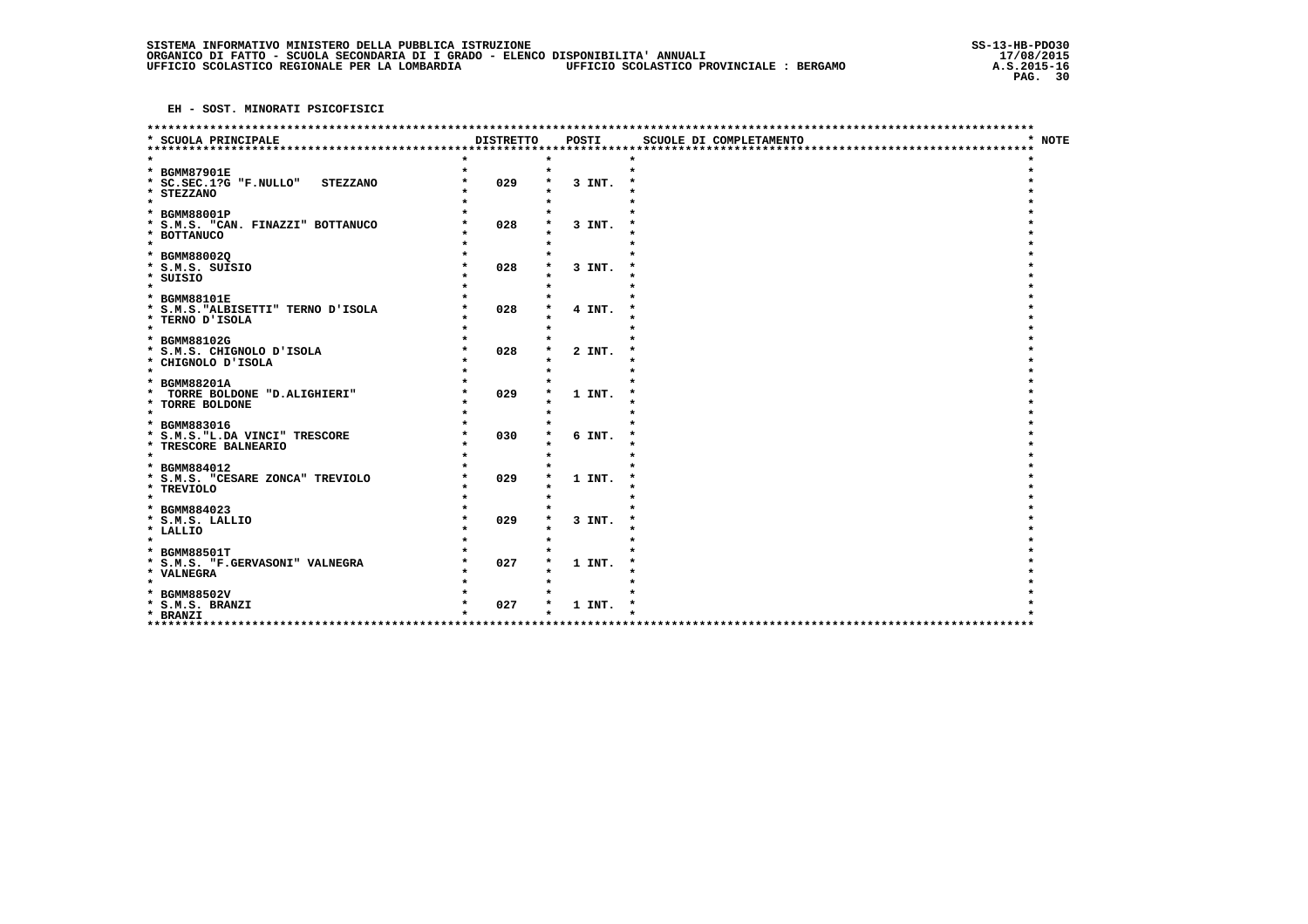|                                                                                             |                  |        | ********************    |        |
|---------------------------------------------------------------------------------------------|------------------|--------|-------------------------|--------|
| * SCUOLA PRINCIPALE<br>*********************                                                | <b>DISTRETTO</b> | POSTI  | SCUOLE DI COMPLETAMENTO | * NOTE |
| * BGMM87901E<br>* SC.SEC.1?G "F.NULLO"<br><b>STEZZANO</b><br>* STEZZANO                     | 029              | 3 INT. | $\star$                 |        |
| $\star$<br>* BGMM88001P<br>* S.M.S. "CAN. FINAZZI" BOTTANUCO<br>* BOTTANUCO<br>$\star$      | 028              | 3 INT. |                         |        |
| * BGMM880020<br>* S.M.S. SUISIO<br>* SUISIO<br>$\star$                                      | 028              | 3 INT. |                         |        |
| * BGMM88101E<br>* S.M.S. "ALBISETTI" TERNO D'ISOLA<br>* TERNO D'ISOLA<br>$\star$            | 028              | 4 INT. |                         |        |
| * BGMM88102G<br>* S.M.S. CHIGNOLO D'ISOLA<br>* CHIGNOLO D'ISOLA<br>$\star$                  | 028              | 2 INT. |                         |        |
| * BGMM88201A<br><b>TORRE BOLDONE "D.ALIGHIERI"</b><br>$\star$<br>* TORRE BOLDONE<br>$\star$ | 029              | 1 INT. |                         |        |
| * BGMM883016<br>* S.M.S. "L.DA VINCI" TRESCORE<br>* TRESCORE BALNEARIO<br>$\star$           | 030              | 6 INT. |                         |        |
| * BGMM884012<br>* S.M.S. "CESARE ZONCA" TREVIOLO<br>* TREVIOLO<br>$\star$                   | 029              | 1 INT. |                         |        |
| * BGMM884023<br>* S.M.S. LALLIO<br>* LALLIO<br>$\star$                                      | 029              | 3 INT. |                         |        |
| * BGMM88501T<br>* S.M.S. "F.GERVASONI" VALNEGRA<br>* VALNEGRA<br>$\star$                    | 027              | 1 INT. |                         |        |
| * BGMM88502V<br>* S.M.S. BRANZI<br>* BRANZI<br>*****************************                | 027              | 1 INT. | ******************      |        |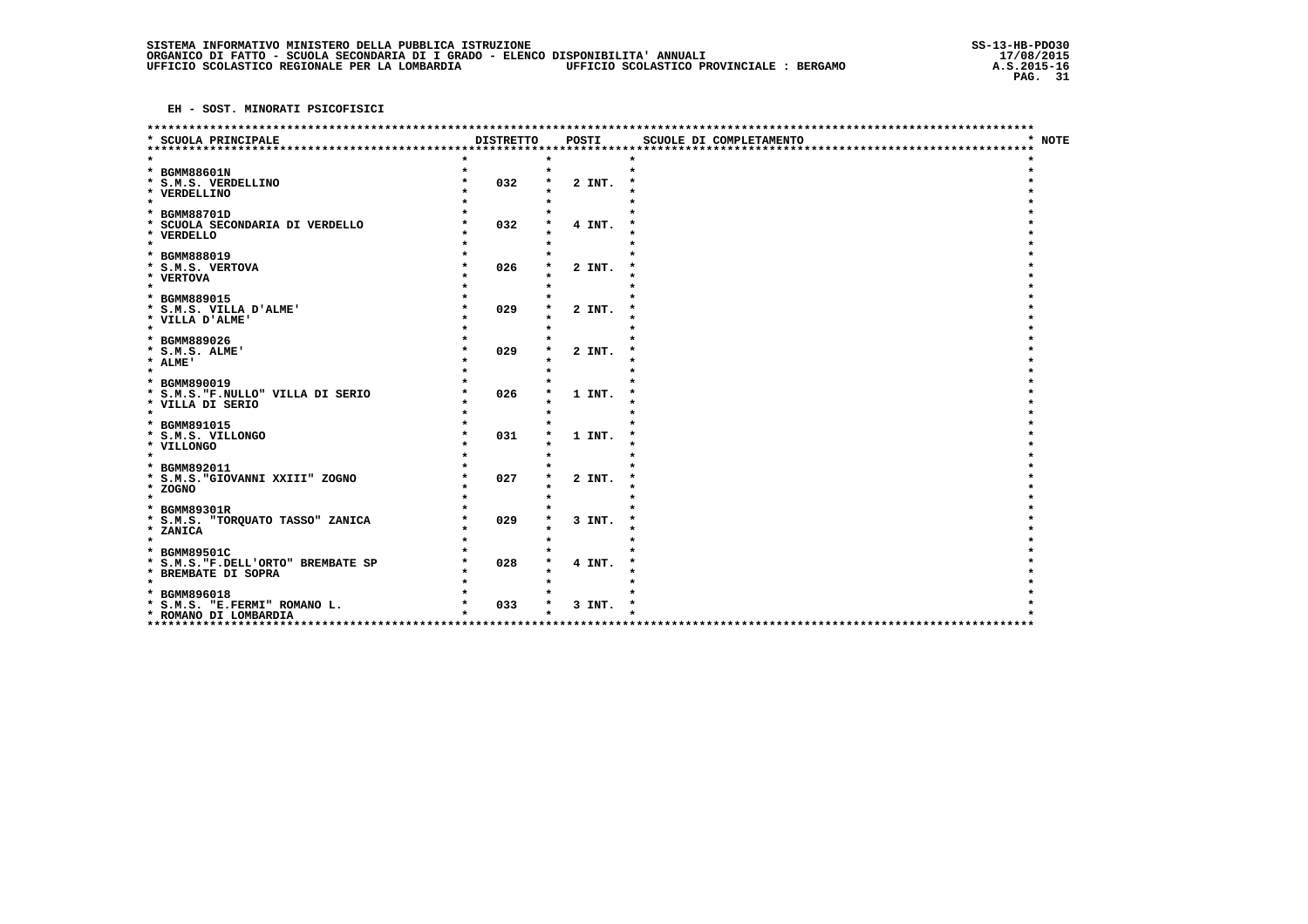|                                                                                            |                  |        | *********************** |        |
|--------------------------------------------------------------------------------------------|------------------|--------|-------------------------|--------|
| * SCUOLA PRINCIPALE<br>**********************                                              | <b>DISTRETTO</b> | POSTI  | SCUOLE DI COMPLETAMENTO | * NOTE |
| * BGMM88601N<br>* S.M.S. VERDELLINO<br>* VERDELLINO<br>$\star$                             | 032              | 2 INT. | $\star$                 |        |
| * BGMM88701D<br>* SCUOLA SECONDARIA DI VERDELLO<br>* VERDELLO<br>$\star$                   | 032              | 4 INT. |                         |        |
| * BGMM888019<br>* S.M.S. VERTOVA<br>* VERTOVA<br>$\star$                                   | 026              | 2 INT. |                         |        |
| * BGMM889015<br>* S.M.S. VILLA D'ALME'<br>* VILLA D'ALME'<br>$\star$                       | 029              | 2 INT. |                         |        |
| * BGMM889026<br>* S.M.S. ALME'<br>* ALME'<br>$\star$                                       | 029              | 2 INT. |                         |        |
| * BGMM890019<br>* S.M.S."F.NULLO" VILLA DI SERIO<br>* VILLA DI SERIO<br>$\star$            | 026              | 1 INT. |                         |        |
| * BGMM891015<br>* S.M.S. VILLONGO<br>* VILLONGO<br>$\star$                                 | 031              | 1 INT. |                         |        |
| * BGMM892011<br>* S.M.S. "GIOVANNI XXIII" ZOGNO<br>* ZOGNO<br>$\star$                      | 027              | 2 INT. |                         |        |
| * BGMM89301R<br>* S.M.S. "TORQUATO TASSO" ZANICA<br>* ZANICA<br>$\star$                    | 029              | 3 INT. |                         |        |
| * BGMM89501C<br>* S.M.S. "F.DELL'ORTO" BREMBATE SP<br>* BREMBATE DI SOPRA                  | 028              | 4 INT. |                         |        |
| $\star$<br>* BGMM896018<br>* S.M.S. "E.FERMI" ROMANO L.<br>* ROMANO DI LOMBARDIA<br>****** | 033              | 3 INT. |                         |        |